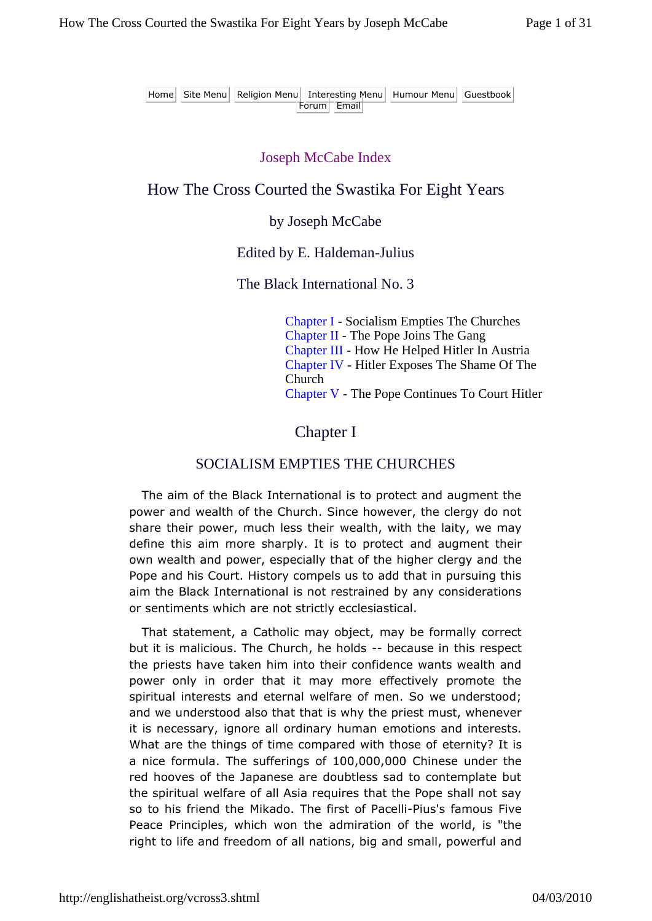Home Site Menu Religion Menu Interesting Menu Humour Menu Guestbook Forum Email

#### Joseph McCabe Index

#### How The Cross Courted the Swastika For Eight Years

#### by Joseph McCabe

#### Edited by E. Haldeman-Julius

#### The Black International No. 3

Chapter I - Socialism Empties The Churches Chapter II - The Pope Joins The Gang Chapter III - How He Helped Hitler In Austria Chapter IV - Hitler Exposes The Shame Of The Church Chapter V - The Pope Continues To Court Hitler

### Chapter I

#### SOCIALISM EMPTIES THE CHURCHES

The aim of the Black International is to protect and augment the power and wealth of the Church. Since however, the clergy do not share their power, much less their wealth, with the laity, we may define this aim more sharply. It is to protect and augment their own wealth and power, especially that of the higher clergy and the Pope and his Court. History compels us to add that in pursuing this aim the Black International is not restrained by any considerations or sentiments which are not strictly ecclesiastical.

That statement, a Catholic may object, may be formally correct but it is malicious. The Church, he holds -- because in this respect the priests have taken him into their confidence wants wealth and power only in order that it may more effectively promote the spiritual interests and eternal welfare of men. So we understood; and we understood also that that is why the priest must, whenever it is necessary, ignore all ordinary human emotions and interests. What are the things of time compared with those of eternity? It is a nice formula. The sufferings of 100,000,000 Chinese under the red hooves of the Japanese are doubtless sad to contemplate but the spiritual welfare of all Asia requires that the Pope shall not say so to his friend the Mikado. The first of Pacelli-Pius's famous Five Peace Principles, which won the admiration of the world, is "the right to life and freedom of all nations, big and small, powerful and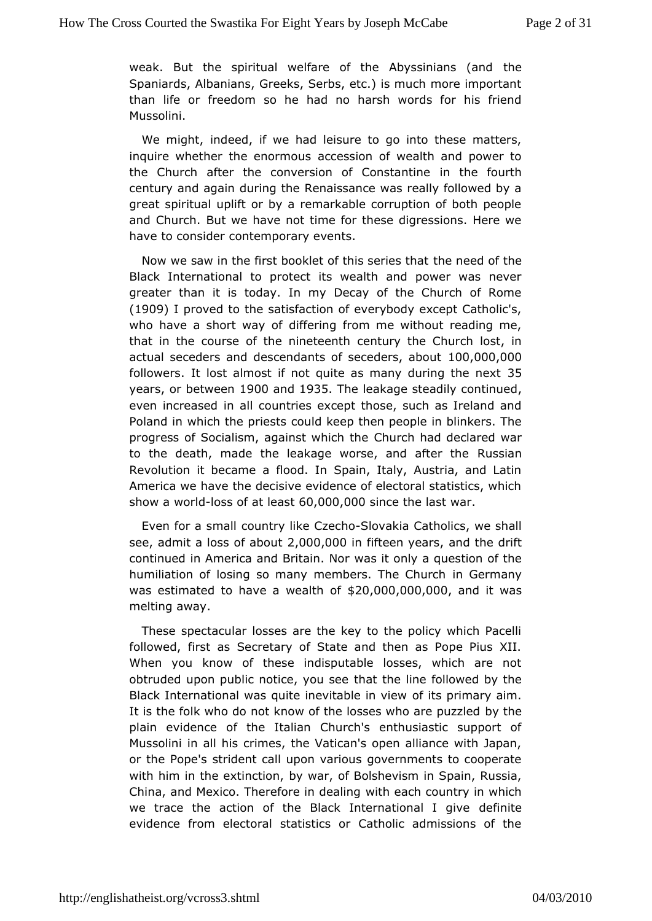weak. But the spiritual welfare of the  $A$ b $v$ ksginians (and Spaniards, Albanians, Greeks, Serbs, etc.) is much more impo than lifeer freedom so he had no harsh words for his frien Mussolini.

We might ndeed, if we had leisure to go into these matters inquire whether the enoror measures on of wealth and power to the Church after the conversion of inComhestanto in the fourth century and again during the Renaissance was really followed great spiritual uplift or by a remarkable corruption of both p and ChurdBhut we have not time for these digressions. Here w have to considetemporary events.

Now we saw in the first booklet of this sere ide sofhtahte Black International to protect its wealth and power was  $n_{\text{e}}$ greater than it is today. In my Decay of the Church of Rom  $(19091$  proved the satisfaction of everybody except Catholic's who have a short wobit for a from me without reading me, that in the course of the ndeeteenthhe Church lost, in actual seceders and descendants of seceders, 0a0b0out followerls lost almost if not quite as many du $35$ ng the next year, sor betwe  $\text{\textsterling}00$  and 935 The leakage steadily continued even increased all countries except those, such as Ireland an Poland in which the copuleds the ep then people in blinkers. The progress of Socialism, agains **C**hwirt in the declared war to the death, made the leakage worse, & nussiant her the Revolution it became a flood. In Spain, Italy, Austria, and America we have the decisive evidence of electoral statistics show worldoss of at l@@.s000,000nce the last war

Even for a somal htry like CzSeloohvoakia Catholics, we shall see, admit a loss o2,4000u60i0 fifteen yeannos the drift continued in America and Bwiasint only a question of the humiliation of losing so many membersin TGheernChanuych was estimated to have a  $\mathcal{C}\subseteq\mathcal{A}$ .  $\mathcal{A}$  and  $\mathcal{A}$  of  $\mathcal{A}$  of  $\mathcal{A}$  of  $\mathcal{A}$  it was meltingaway.

These spectacular losses are the key to the policy which F followed, first as Secretary of State and then as Pope Piu: When you know these indisputable losses, which are not obtruded upon public noticethay to the element followed by the Black International was quite inevictfabils pirmiaeny aim. It is the folk who do not know of the losses bww hto heare puzzled plain evidence of the Italian Church's enthusiastic suppo Mussoliimi all his crimes, the Vatican's open alliance with Japan or the Popset's ident call upon various governments to cooperat with him in the extimetiven in of Bolshevism in Spain, Russia, China, and Mexico. Thereforewithh deexad hing ountry in which we trace the action of the Black Internation at least qive evidence from electoral statistics or Catholic admissions c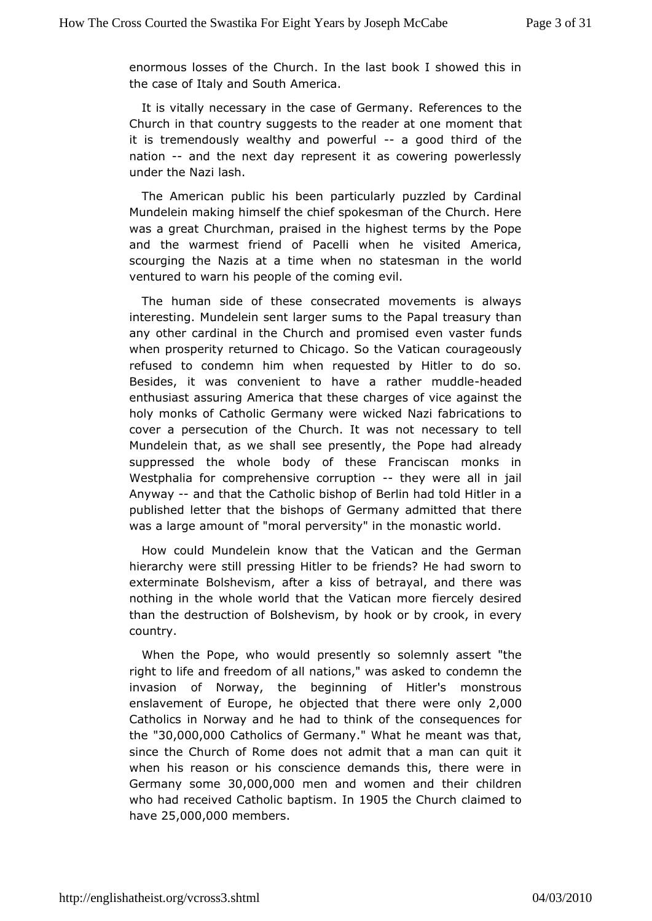enormous losses of the Church. In the last book I showed the the case Itally and South America.

It is vitally necessary in the caseRefeGenmes to the Church in that country suggests to the reader hat one moment it is tremendously wealthy and poweofdulthird of the nation- and the next day represent it as cowering powerless under the Nash.

The American public his been particularly puzzled by Car Mundelein making himself the chief spokesman of the Church. was a greCalturchman, praised in the highest terms by the Pop and the warmest frie Padceolfli when he visited America, scourging the Nazis at a time when no shate worm ach ventured to warn his people of the coming evil.

The humasnide of these consecrated movements is always interesting. Mundelein sesnutmisant oper he Papal treasury than any other cardinal in the Church aendempromanitseerd funds when prosperity returned to Chicago. Southamed Noalts channel refused to condemn him when requested by Hitler to do Besidest was convenient to have a rather adredddle enthusiast assuring American se charges of vice against the holy monks of Catholic Germwainckewde Neazi fabrications to cover a persecution of the Churchnelde wsary noto tell Mundelein that, as we shall see presently alrtehand Pope had suppressed the whole body of these Franciscan monks Westphalia domprehensive corrupthing were all in jail Anyway-and that the tholic bishop of Berlin had told Hitler in a published letter that theofbi**Ghoma**ny admitted that there was a large amount of "moral pervenrosintays" tiion whould.

How could Mundelein know that the Vatican and the Germ hierarchy were still pressing Hitler to be friends? He had sw exterminaB@lshevism, after a kiss of betrayal, and there wa nothing in the wholethwaorthe Vatican more fiercely desired than the destruction of Bolshevoiks mor by crook, in every country.

When the Pope, who would presset entity so assert "the right to life and freedom of all nations; "browdees mans kheed to invasion of Norway, the beginning of Hitler's monstro enslavement Euro, phee objected that there wege Oonly Catholics in Norway and to he hhead of the consequences for  $the "30,000,000$  atholics of Germany . heterant was that, since the Church of Rome does not admit that a man can qu when his reason or his conscience demands this, there wer Germany som (200,000 chand women and their children who had received Catholic bape 5s me Church claimed to have  $25,000,000$  e m b e.r s.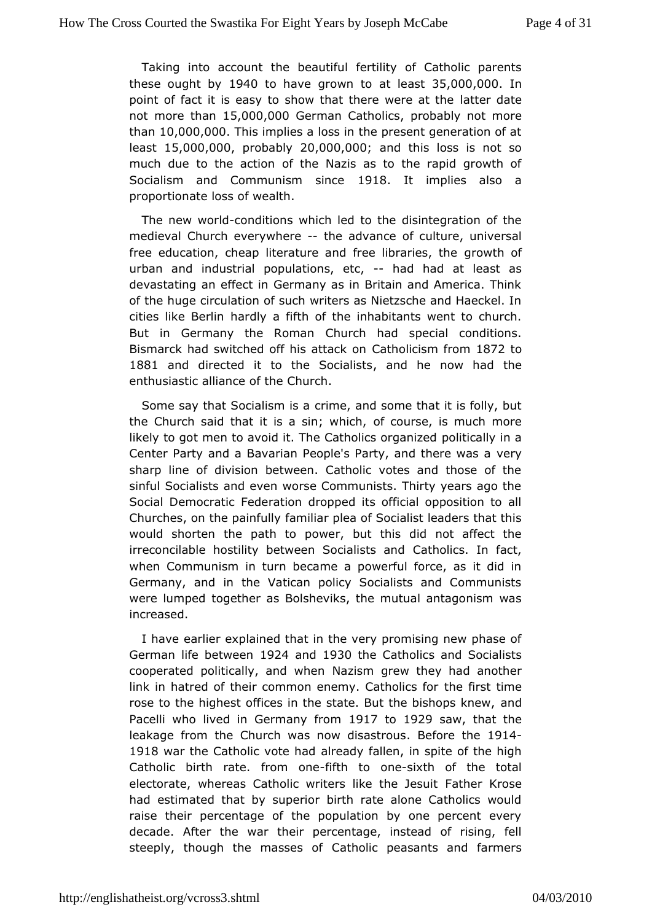Taking into acctohuenthe autiful fertility of Catholic parents these ought  $1940$  to have grown at to be a \$15,000,000 . point of fact it is easy to show that the adtewre robeataet the not more thas 50.000,000  $\theta$ erman Catholics ably not more tham  $0.000.000$  his implies a loss in the present generation of  $i$ least15,000,0,0 $\hat{p}$ robabl $\hat{z}$ 0,000,0;0 $\hat{\theta}$ nd this loss is not so much due to the acoftible Nazis as to the rapid growth of Socialism and Communism 19 slian clet implies also a proportionate loss of wealth.

The new woorddaditio which led to the disintegration of the medieval Church every-wther advance culture, universal free education, cheap literature and free rowth of  $\epsilon$ s, the urban and industrial populations, dehind at least as devastating an effect in Germany as in Britain and America. of the hugieculation of such writers as Nietzsche and Haeckel. cities like Bleatichly a fifth of the inhabitants went to church. But in Germany the ROmuanh had special conditions. Bismarck had switched off his Cantholociusm flr&o7m2to 1881 and directed it to the  $S$ **andalhsets now hade** enthusiastic alliance of the Church.

Some say that Socialic simmies, and some that it is folly, but the Church said that it is a **s**incowul is eeh, is much more likely to got men to avoid it. The Cathpoolicts coarlog aninzead Center Party and a Bavarian People's Party, venyd there was a sharp line of division between. Catholic votes and those o sinfu**S** ocialists and even worse Communists. Thirty years ago Social DemocFaetderation dropped its official opposition to all Churches, on the patammidiar plea of Socialist leaders that this would shorten the path to buptowers did not affect the irreconcilable hostility between Soatholistics and fact, when Communism in turn became a powerful force, as it did Germany, and in the Vatican policy Socialists and Commur were lumpted gether as Bolsheviks, the mutual antagonism was increased.

I havearlier explained that in the very promising new phase German life betw @ 24 and 1930 the Catholics and Socialists cooperated politically, a had ziws hmengrew they had another link in hatred of their common enemy.thCeathinoslicts infer rose to the highest offices in the state. But almed bishops knev Pacelli who lived in Germany 7 fool @ 29 saw that the leakage from Church was now dis **B**sfores the 14 1918 war the Catholic voatlere hand of fallen, in spite of the high Catholic birth rate. frbinnthonoonesixth of the total electorate, whereas Catholic writers **Flathemekdeseit** had estimated that by superior birth rate alone Catholics w raise their percentage of the population by one percent e decade. After wat their percentage, instead of rising, fell steeply, though the masSesetshoolifc peasants and farmers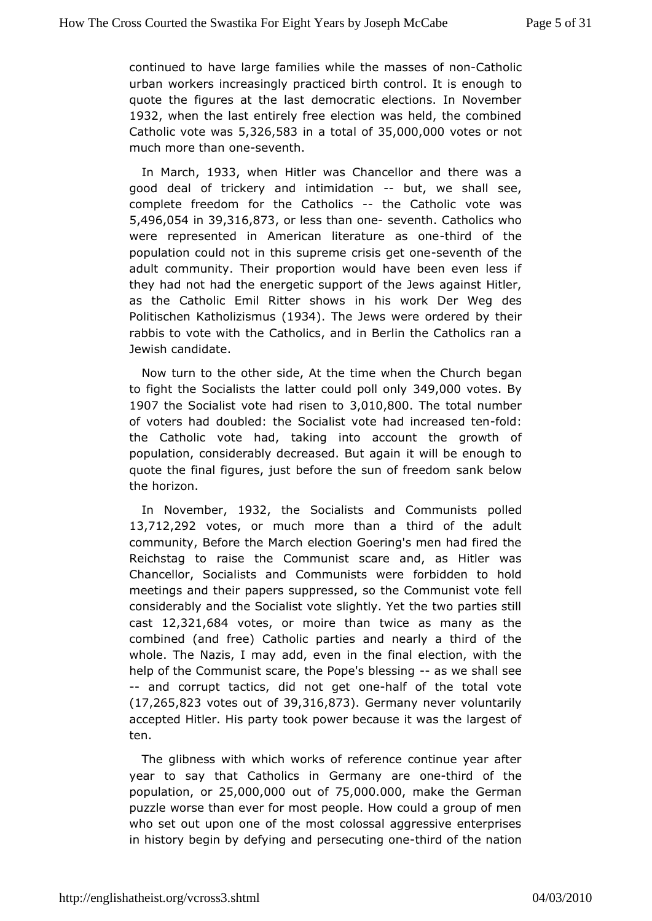continued to have large families whibe throe Coantal so been contently and the model of the masses of the mass urban workers increasingly practiced birth contorol. It is enough quote the figures at the last democratic elections. In Nove 1932 whenthe last entirely free election was held, the combin  $C$ atholic vote 5w $3a$ 26,58 $3a$  a tota $B$   $5f$ 000,00 $w$ otes or not much more than seventh.

In March 933 when Hitler was Chancellor and there was a good deal of trickery and intimbidation -- shall see, complete freedom the Catho-lictshe Catholic vote was 5,496,05i4h39,316,8,7c3r less thoanne seventh. Catholics who were represented in American literatthuirredofastheene population could not in this supreme-scerviss institation of the adultommunity. Their proportion would have been even less they had not had ntdhregetic support of the Jews against Hitler, as the Catholic Emil Ritten shis work Der Weg des Politischen Katholi(zli9s3m). The Jews were orbolgentehdein rabbis to vote with the Catholics, and in Berlin the Catholics Jewish candidate.

Now turn to the other side, At the time wbenathe Church to fight the Socialists the latter co 49d 0pold to sBly 1907the Socialist vote had 3r, ist to 300 he total number of voters hdandubled: the Socialist vote had i-mfordeased ten the Catholic vote the and into account the growth of population, considerably decreaseid.wBlutbægain pugh to quote the final figures, just before the ssamk obsefore dom the horizon.

In Novembetr 932 the Socialists and Commount easts 13,712,292 otes or much more than a third of the adult communit Before the March election Goering's men had fired t Reichstag to rais $\mathcal C$  omhmeunist scare and, as Hitler was Chancellor, Socialists and Communisted wereo hold meetings and their papers suppressed, so the  $\mathbf d$  b m munist vot considerably and the Socialist vote slightly. Yet the two parti cast12,321,684 otes or moire than twice as many as the combined (and freeh) olic parties and nearly a third of the whole. The Nazis, I may addhee wemainelection, with the help of the Communist scare, the Popærs swhelessheat higsee -- and corrupt tactics, did nothagetto bintene total vote  $(17, 265, 823$  tes out  $30f316, 8$ .  $\sqrt{3}$  ermany never voluntarily accepted HiHiesr.party took power because it was the largest o ten.

The glibness whithh works of reference continue year after year to say that  $C$ atho $G$  iecrsmany are -tohried of the  $p$ opulatioon  $25,000,000$ ut o $75,000$ .000.000 akethe German puzzle worse than ever for most people. How could a group of whoset out upon one of the most colossal aggressive enterpr in history begine flying and persecuting robined the nation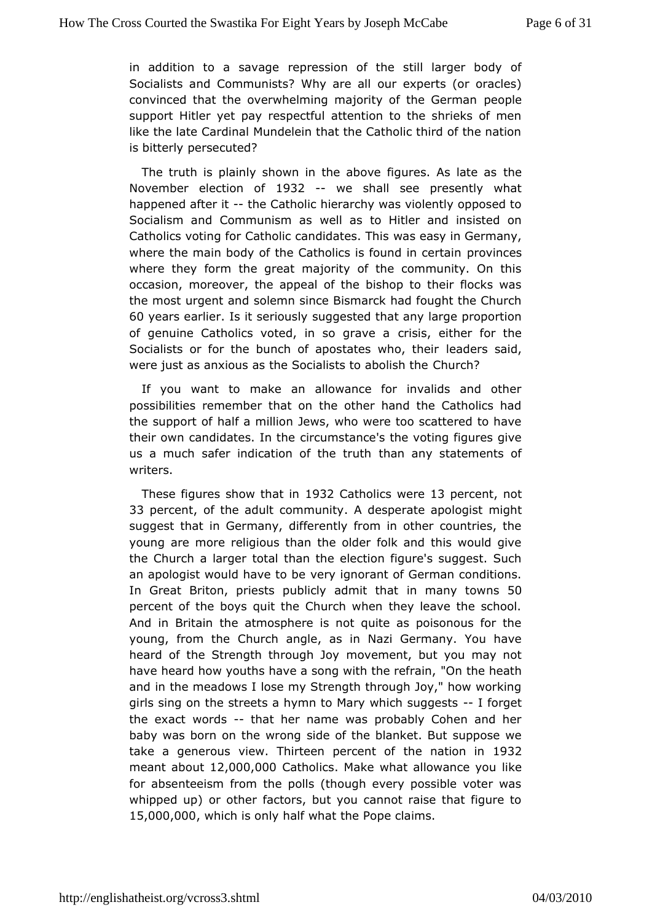in addition to a sae parcession of the still larger body of Socialists and Communists? Wohuy as expertlis (or oracles) convinced that the overwhelming majority  $p \ell$  othe German support Hitler yet pay respectful attention to the shrieks of likethe late Cardinal Mundelein that the Catholic third of the r is bittepleyrsecuted?

The truth is plainly shown in the above figth  $e$ s. As late as November election 9 362 -- we shall see presently what happened aftenthe Catholic hierarchy was violently opposed to Socialism and Communivesent ass to Hitler and insisted on Catholics voting for Catholic cannedidatesy  $\mathsf{T}$ mi $\mathsf{\mathsf{G}}$ ermany, where the main body of the Catholics is for own dn cheescertain where they form the great majority of the community. On t occasiom preover, the appeal of the bishop to their flocks w the most urgents alrednn since Bismarck had fought the Church 60 years earlisent seriously gested that any large proportion of genuine Catholics voted, in spisgs a veither for the Socialists or for the bunch of apostateadwhso, sahide, in were just as anxious as the Socialist  $\mathcal{L}$  horabolish the

you want to make an allowance for invalids and oth possibilities remember that on the other hand the Catholics the support a million Jews, who were too scattered to have their own candidates cilrotum stance's the voting figures give us a much safer indication of than than that the ments of writers.

These figures show that Datholive ret 3 percent of 33 perce, not f the adult comm An dteys perate aporhoiggihst suggest that in Germany, differently from in other countries youngare more religious than the older folk and this would g the Church a laog ar than the election figure's suggest. Such an apologist would hawe tho igeorant of German conditions. In Great Briton, priests publicly inadmain ythtaotw5nOs percent of the boys quit the Church when they leave the sc And in Britain the atmosphere is not quite as poisonous fo young, from Chaurch angle, as in Nazi Germany. You have heard of the Strength thromug whendent, but you may not have heard how youths have a song wit Onthe energienth, and in the meadows I lose my Strength through Joy," how wor girls sing on the streets a hymn to Mary -whifoor geeutg gests the exawtords-that her name was probably Cohen and her baby was born on the sindreomof the blanket. But suppose we take a generous view. Thirteen the creattion of 1932 meant abolu $2,000,000$  atholic Msake what allowand ekeyou for absenteeism from the polls (though every possible voter whipped upp other factors, but you cannot raise that figure  $t$ 15,000,0,000 hich is omdyf what the Pope claims.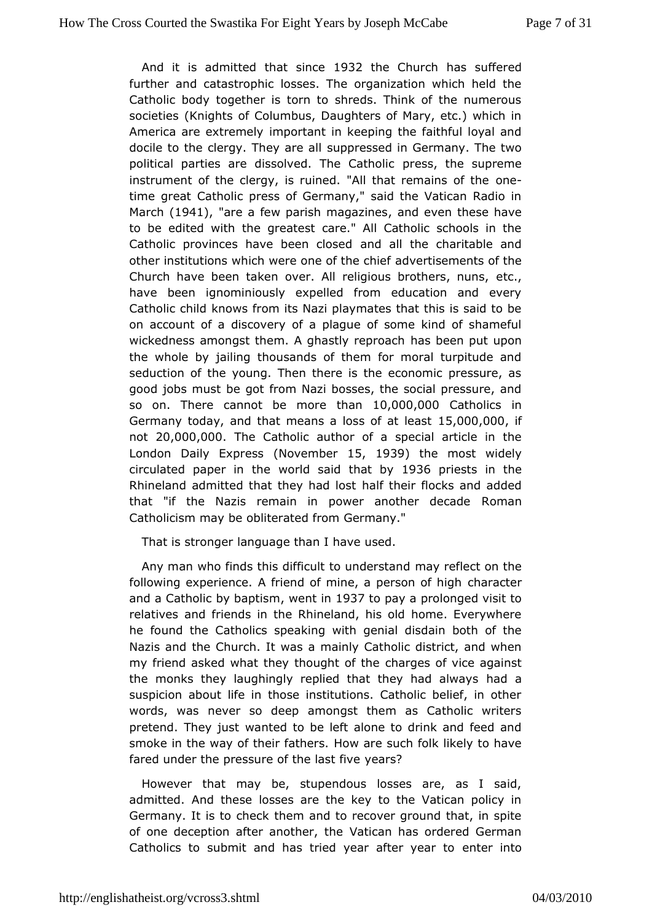And it is admitted that 982 htchee Churbas suffered further and catastrophic losses. The organization which hel Catholic body together is torn to shreds. Think of the nume societiels nights of Columbus, Daughters of Mary, etc.) which America are extremmedy tant in keeping the faithful loyal and docile to the clergy. Thesympaprreesesded in Germany. The two political parties are dissolved.  $\bar{p}$  hees  $\hat{c}$  athelis upreme instrument of the clergy, is ruined. "All thaone emains of the time great Catholic press of Germany," said the Vatican Rad March(194), "are a few parish maganzdnesen these have to be edited withgrehadest care." All Catholic schools in the Catholic provinces have beandcled setche charitable and other institutions which were oneadovfethteseminentts of the Church have been taken over. All religious ebcothers, nuns, have been ignominiously expelled from education and ev Catholic child ws from its Nazi playmates that this is said to be on account of a disoctovae novlague of some kind of shameful wickedness amongst them. A ghas hay srbp emaph tupon the whole by jailing thousands of them for moral turpitude seduction of the young. Then there is the economic pressur good jobs mbustgot from Nazi bosses, the social pressure, an so on. There cannot bethanot  $0.000,000$  atholics in Germany today, and that means a losts  $0.0000,0.0000$  at 0.000 kg if  $not 20,000,0.0$  The Catholic author of a special article in the London Daily ExpNessembet5, 1939 the most widely circulated paper importhe said that 91306 priests in the Rhineland admitted that the whalt ad hlosist flocks and added that "if the Nazis remain in power anoraberandecade Catholicism may be obliterated from Germany."

That is stronage uage than I have used.

Any man who finds this difficult tonay ndefstand m the following experience. A friend of mine, a phemsotre rof high and a Catholic by bapetrism h937 to pay a prolonged visit to relatives and friends in the Rhineland, his old home. Every he found the atholics speaking with genial disdain both of th Nazis and the Churcha Imawia by Catholic district, and when my friend asked what they thoughhatrope sthos vice against the monks they laughingly replied that theugdhad always suspicion about life in those institutions. Catholic belief, in words, was never so deep amongst them as Catholic writ pretend. They wanted to be left alone to drink and feed and smoke in the way of theirH bawth a such folk likely to have fared under the pressure of the arts five

However that may be, stupendous losses are, as I said admitted and these losses are the key to the Vatican policy Germany. It is to tch heem ckand to recover ground that, in spite of one deception after ano the Encathers ordered German Catholics to submit and has tried yeareater intear to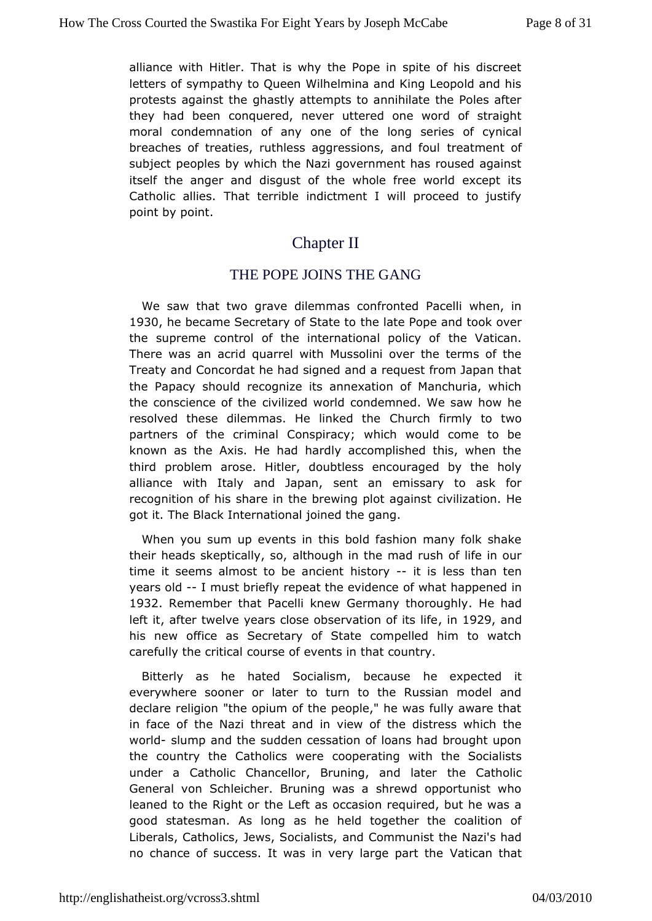alliance with Hitler. That is why the Pope in spite of his di letters of sympathy to Queen Wilhelmina and King Leopold an protests gainst the ghastly attempts to annihilate the Poles at they had becompauered, never uttered one word of straight moral condemnation of anytheenelong series of cynical breaches of treaties, ruthless aggresstiroemast meanntd offoul subject peoples by which the Nazi government has roused ag itself the anger and disgust of the whole free world excep Catholic all**Tes**t terrible indictment I will proceed to justify point by point.

## Chapter II

### THE POPE JOINS THE GANG

We saw that gwave dilemmas confronted Pacelli when, in 1930he became Secretary of the batat to Pope and took over the supreme control of the internatiotheel policy nof There was an acrid quarrel with Mussolini over the terms of Treaty and Concordat he had signed and a request from Japar the Papasyould recognize its annexation of Manchuria, which the conscience  $\alpha$  fiviliezed world condemned. We saw how he resolved these dilemmas. He Comkuedhthermly to two partners of the criminal Conspiracy; which would come to known as the Axis. He had hardly accomplished this, when third problamose. Hitler, doubtless encouraged by the holy alliance with Italy and seapaan emissary to ask for recognition of his share in the brewing plot at against the got it. The Black International joined the gang.

When yo sum up events in this bold fashion many folk shake their heads skepticaallyhosum, in the mad rush of life in our time it seems almost to behiancorigent is less than ten years old must briefly repeat the cet vicheent chappened in 1932 Remember that Pacelli knew Germany Heh bandung hly left iafter twelve years close observation of 902f9 atmsdlife his new ffice as Secretary of State compelled him to watc carefully the coiducal of events in that country.

Bitterly as he hated Socialism, hebecompues details everywhere sooner or later to turn to the Russian model declare religion "the opium of the people," he was fully awar in face tohfe Nazi threat and in view of the distress which th worldslump and shuedden cessation of loans had brought upon the country the Catholics owerating with the Socialists under a Catholic Chancellor, BruningheanCoatholieor General von Schleicher. Bruning was a shrewd opportunist leaneto the Right or the Left as occasion required, but he was good statesmanlons as he held together the coalition of Liberals, Catholics, Jews, a **Social instra**nist the Nazi's had no chance of success. It was in very Værtgeapathatthe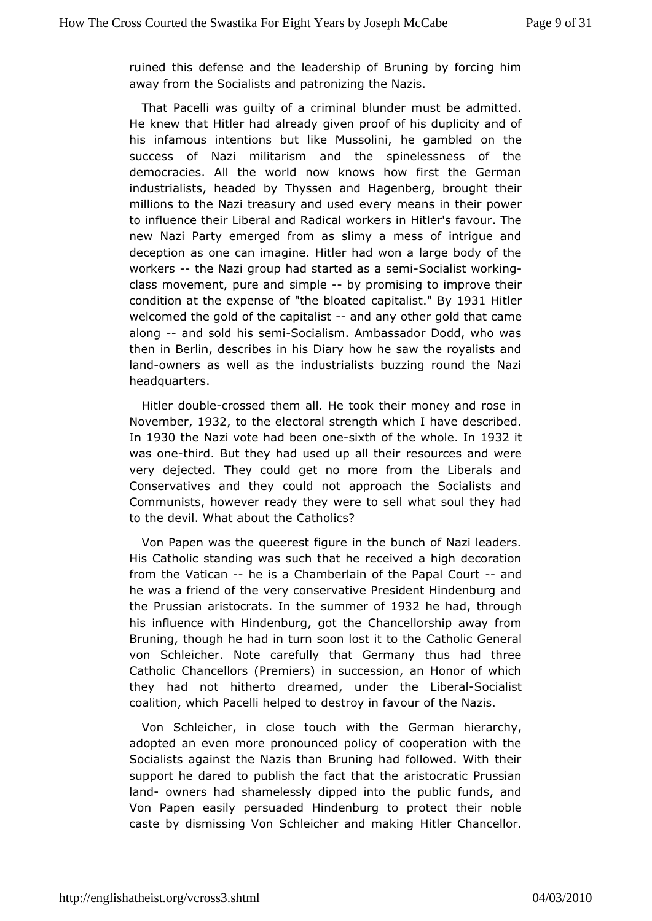ruined this defense and the leadership of Bruning by forcing away from the Socialists and patronizing the Nazis.

That Pacelligwaisty of a criminal blunder must be admitted. He knew that Hitler hadgave eagly oof of his duplicity and of his infamous intentions but like heMugsasmobilmeid on the success of Nazi militarism and the spinelessness of democracies. All the world now knows how first the Germ industrialists, head Thussen and Hagenberg, brought their millions to the Nazi treasury eveenty unseeachs in their power to influence their Liberal and Radild atll ewo skieansour. The new Nazi Party emerged from as slimy a mess of intrigue deception as one can imagine. Hitler had won a large body of workers-theNazi group had started associalist working class movement, pusemande-by promising to improve their condition at the expense of "thaopiblad as Blayd 931 Hitler welcomed the gold of the -capid adinsyt othered that came along- and sold his -Somialism. Ambassador Dodd, who was then in Berlin, describes in his Diary how he saw the royalis landownersas well as the industrialists buzzing round the Na headquarters.

Hitledoublerossed them all. He took their money and rose in November 932to the lectoral strength which I have described. In 1930 the Nazi vote had besteath of the whole 32 it was onthird. But they had used up eabluthces and were very dejected. They could get no more from the Liberals Conservatives and they could not approach the Socialists Communists, how evactly they were to sell what soul they had to the devil. What abCoauth bhecs?

Von Papen was the queerest figure in the bunch of Nazi lea His Catholic standing was such that he received a high deco from the Aatican-he is a Chamberlain of the P-apanand Court he was a friend  $\boldsymbol{v}$  ertyh conservative President Hindenburg and the Prussian aristocratsum mehed 932he had hrough his influence with Hindenburghay model the away from Bruning, though he had in turn soon Clasts to the Cofferal von Schleicher. Note carefully that Germany thus had th Catholic Chancellors (Premiers) in succession, an Honor of they had not ther to dreamed, under the Socialistical coalition, which Pacellid hest to destrow in favour of the Nazis.

Von Schleicher, in close touchGewinthanthheierarchy, adopted an even more pronounced policy of cooperation with Socialists against the Nazis than Bruning had followed. With support **dered** to publish the fact that the aristocratic Pruss landowners hadamelessly dipped into the public funds, and Von Papen easily perbuand burg to protect their noble caste by dismissing Von Schleicher Hiathedr n Cahlainn gellor.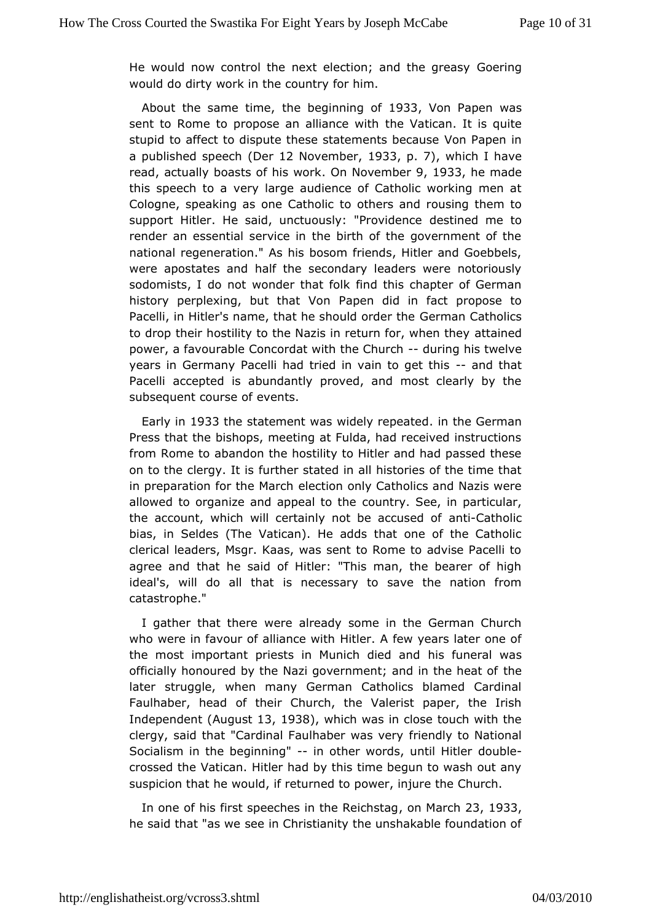He would now control the next election: aGnodertihned greasy would do dirty work in the country for him.

About the same the abeginning 9c8f3 Von Papen was sent to Rome to propose an althænd/eatividalm. It is quite stupid to affect to dispute these state mement Bab per aimse a published sp $(\oplus \oplus \oplus \oplus \cap \mathbb{Z})$  November 1933p. 7), which I have readactually boasts of hi**G**nw**Nowemben 933he** made this speech to arge audience of Catholic working men at Cologne, speaking as one to  $C$  athers and rousing them to support Hitler. He said, unctuously: de'sPtrion weiddemeeto render an essential service in the birth of the government of national regeneration." As his bosom friends, Hitler and Goe wereapostates and half the secondary leaders were notoriously sodomists, I dow om moder that folk find this chapter of German history perplexing, but thape Mondid in fact propose to Pacelli, in Hitler's name, that he shoseuld conducath holdics to drop their hostility to the Nazis in return thon, ed when they power, a favourable Concordat with dueinCchumishtwelve years in Germany Pacelli had tried in vain and otheratt this Pacelaiccepted is abundantly proved, and most clearly by t subsequent coures vee roofs.

Early in 033 the statement was widely inepteat  $\oplus$  derman Press that the bishops, meeting at Fulda, had received instru from Romeatoandon the hostility to Hitler and had passed thes on to the clergy fult this r stated in all histories of the time that in preparation for the I Matriolm only Catholics and Nazis were allowed to organize and appecaunttoyth See, in particular, the account, which will certainly not bet<sup>ig</sup>ed best of bias, in Seldes (The Vatican). He adds that one of the Catholical clerical leaders, Msgr. Kaas, was sent to Rome to advise Pa agree and at he said of Hitler: "This man, the bearer of high ideal's, will do alils thatessary to save the nation from catastrophe."

I gather that twere already some in the German Church who were in favour of allidentiderwich thew years later one of the most important priests in Muni**ch** is diiwerde reand dwas officially honoured by the Nazi government; at the heat of the heat of later struggle, when many German Catholics blamed Card Faulhaber, head their Church, the Valerist paper, the Irish Independe (Alugust 3, 1938), which was in close touch with the clergy, said that "Cardinal Faulhaftreenwolays to enty ational Socialism in the beg-iniminogther words, untid or until ther crossed the Vatican. Hitler had by this time begun to wash ot suspicion that he would, if returned to power, injure the Chur

In onef his first speeches in the office ans all and 933 he said that "as ewen Christianity the unshakable foundation of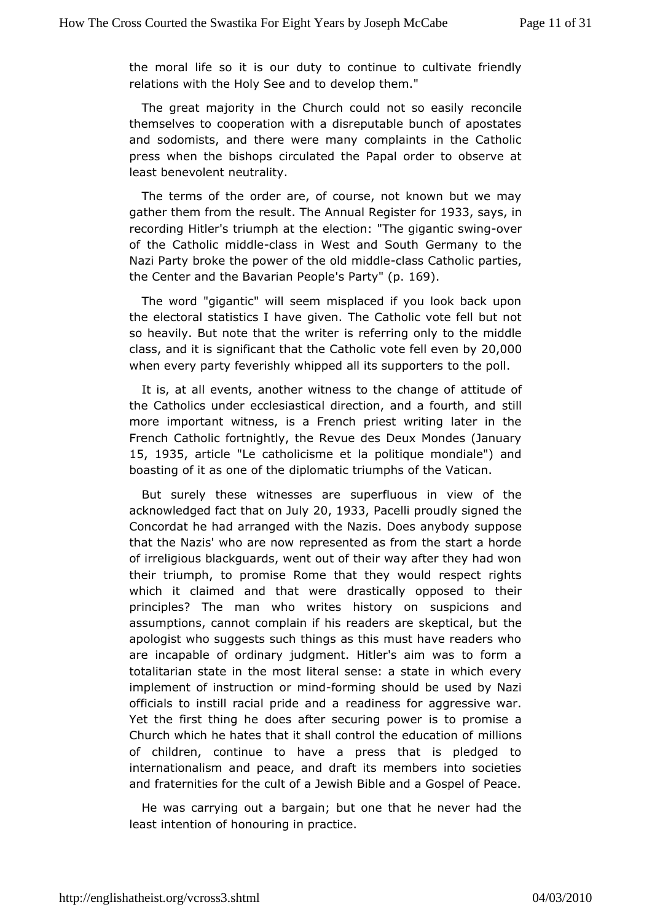the moral life so it diust youto continue to cultivate friendly relations with the Holy Seevahodptohem."

The great majority in the Church could remodes blee asily themselves to cooperation with a disreputable bunch of apos andsodomists, and there were many complaints in the Catho press when the bisircustated the Papal order to observe at least benevolent neutrality.

Theterms of the order are, of course, not known but we may gather them from ethud The Annual Regist@ B 30aysin recording Hitler's triumpheatione "The gigantic cvewing of the Catholic *f*olddsein West Soonudh Germany to the Nazi Party broke the power of the last catholic metries, the Center and the Bavarian P & retown. 1869.

The wor" aigantic" will seem misplaced if you look back upc the electoral stathsaves gliven. The Catholic vote fell but not so heavily. But note that iberewfreiteimg only to the middle class, and it is significant that the Catholic vote fell even by 20,000 when every party feverishly whipped altoitsheuppoploters

It is, at all events, another witness to athineud beauther of the Catholics under ecclesiastical direction, satild a fourth, a more important witness, is a French priest writing later in Frenc6 atholic fortnightly, the Revue des Deux Mondes (Janu 15, 1935 articl'Lecatholicisme et la politique mondiale") and boasting of it as ondiplommetic triumphs of the Vatican.

But surely these witnesses perfluous in view of the acknowledged fact that  $20$  m  $93.3$   $P$  ace proudly signed the Concordat he had arranged with the Nazissuppeseanybody that the Nazis' who are now represented as from the start a  $\mathsf I$ ofirreligious blackguards, went out of their way after they had their triumpo, promise Rome that they would respect rights which it claimed and thad trawe birocally opposed to their principles? The man who writes busstpoircy ionosn and assumptions, cannot complain if his readers are skeptical, b apologist who suggests such things as this must have readers areincapable of ordinary judgment. Hitler's aim was to forn totalitarian stathee imnost literal sense: a state in which every implement of instructhion of orming should be used by Nazi officials to instill racial preidelimans afor aggressive war. Yet the first thing he does after seissuition opropowing a Church which he hates that it shall controlm the endsucation of of children, continue to have a press that is pledged internationalism and peace, and draft its members into soci andfraternities for the cult of a Jewish Bible and a Gospel of

He wasarrying out a bargain; but one that he never had the least intention to moduring in practice.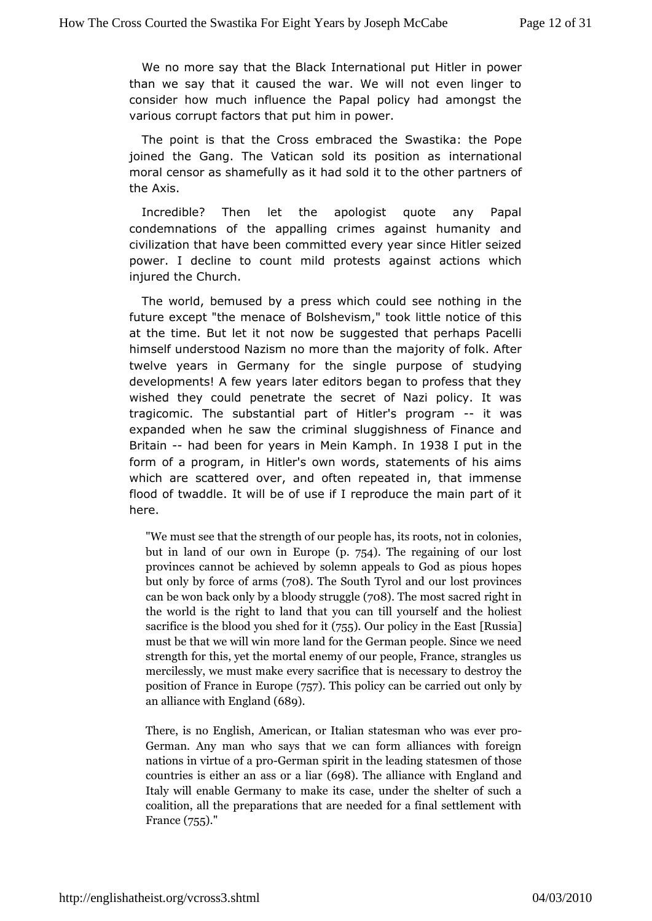We no more say that the Black Interhibilted price in production than we say that it caused the war. We will not even linge consider how much influence the Papal policy had amongst various corfaptors that put him in power.

The point is that the Cross em **S**wassed dkathethe Pope joined the Gang. The Vatican sold its nteros atticom ads moral censor as shamefully as it had sold it toothe other partn the Axis.

 $Incredible?$  Then let the apologist quote any Papa condemnations of the appalling crimes against humanity civilization htanae been committed every year since Hitler seize power. I decline to mcidd n protests against actions which injured the Church.

The world, bemby ead press which could see nothing in the future except "the meBacshevism," took little notice of this at the time. But let it not urgas we subted that perhaps Pacelli himself understood Nazism no momeioh hat the mather after twelve years in Germany for the singlest polyprogse of developments! A few years later editors began to profess tha wished they could penetrate the secret of Nazi policy. It tragicomic. **The stantial part of Hitler's**--pirtogwasm expanded when he saw the stuggishess of Finance and Britain-had been for years in Mein Kamph hput in the form of a program, in Hitler's own words, statements of his which are scattered over, and often repeated in, that imme flood of twaddlwill be of use if I reproduce the main part of i here.

"Wemust see that the strength of our people has, its roots, r butin land of our own (p. 7EG).The regaining of our lost provinces and the achieved by solemn appeals to God as pi but only by offoace(750 & The South Tyrol and our lost province can be won backa obholy by str $\overline{\tau}$ u $\overline{\tau}$ ghe most sacred right in the world is the langth tthat you can till yourself and the hold sacrifice is the  $sh$ edd for  $\delta$   $\delta$   $\delta$ . Our policy in the  $sk$   $sk$  at must be that we mwoirle wand for the German people. Since we strength for this noy eal the memy of our people, France, strangl mercilessly, we mewsetrym ake erifice that is necessary to destro position of France  $(75)$   $\overline{F}$  This peolicy can be carried out only b an alliance with (<del>68</del>9gland

There, is no English, American, or Italien estatesman who German. Any man who says that we can form alliances w nations in virtue Geefrmaap respirit in the leading statesmen of t countries is either an  $@s$ .The aalliance with England and Italy will enable Germany to make its case, under the she coalition, all the preparations that are needed for a final  $s$  $F$ ran $t$   $\approx$   $55$ ."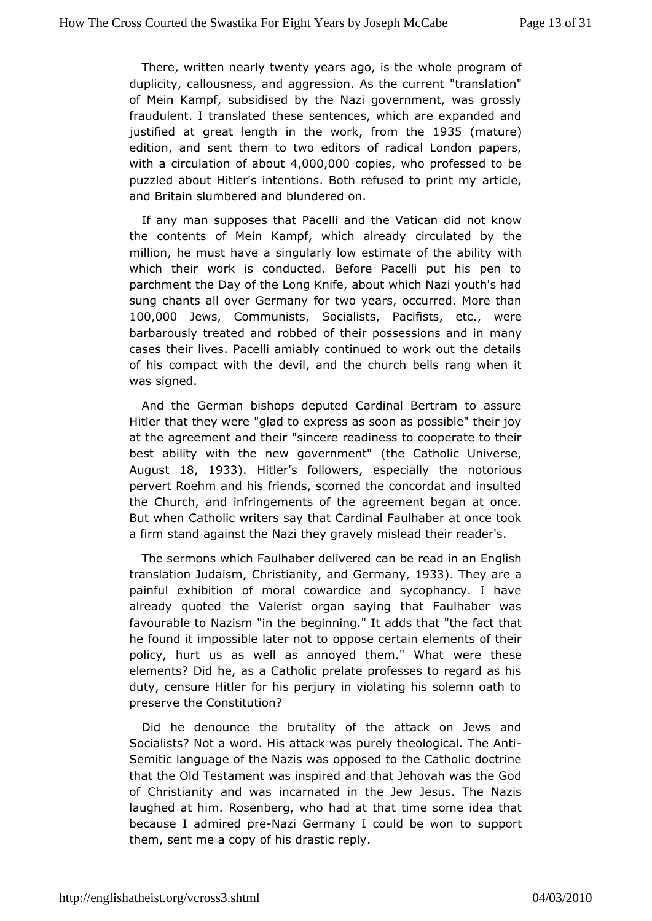There, written nearly twenty years whan also the most duplicity, callousness, and aggression." the antship ticum tent of Mein Kampf, subsidised by the Nazi government, was gro fraudulent. I translated these sentences, which are expanded justified garte at length in the from the  $935$  (matur)e edition, and sent themetoritolws of radical London papers, with a circulation  $0.4,0.00,0.00$   $0.00$   $0.00$   $0.00$   $0.00$   $0.000$   $0.000$   $0.000$   $0.000$   $0.000$   $0.000$   $0.000$   $0.000$   $0.000$   $0.000$   $0.000$   $0.000$   $0.000$   $0.000$   $0.000$   $0.000$   $0.000$   $0.000$   $0.000$   $0.000$ puzzled about Hitler's intentions. Both refased teo print my and Britain slumbered and blundered on.

If any man suppose Bathedti and the Vatican did not know the contents of Mein Kampf, which caladed y by the million, he must have a singularly low estim with of the ability which their work is conducted. Before Pacelli put his pe parchment Dhaey of the Long Knife, about which Nazi youth's ha sung chants all over Germtawnoy years, occurred. More than 100,000 Jews Communist Socialist Bacifists, etc., were barbarously treated and robbed of their posts ans and in cases their lives. Pacelli amiably continued to work out the of hisompact with the devil, and the church bells rang when was signed.

Andthe German bishops deputed Cardinal Bertram to assu Hitler that they" we kend to express as soon as possible" their joy at the agreement an'd sitheoire readiness to cooperate to their best ability with the new govelmem Gatholic Universe, August18, 1933). Hitlesr followers specially those orious pervert Roehm and his friends, scorned the concordat and ins theChurch, and infringements of the agreement began at on But when Cathwriters say that Cardinal Faulhaber at once tool a firm stand against they Ng valy mislead their reader's.

The sermons which Faulhabecadrelbeer ead in an English translation Jud&insmistianity of Germany 33. They are a painful exhibition of moral cowardice and sycophancy. I h alread guoted the Valerist organ saying that Faulhaber wa favourable to Nazismb'eignintheng." It adds that "the fact that he found it impossible laboppose to train elements of their policy, hurt us as well as annoyed theme."th wheat elements? Did he, as a Catholic prelate professes to regard duty, censure Hitler for his perjury in violating his solemn o preservee Constitution?

Did he denounce the brutality of the attack on Jews a Socialists? Not a word. His attack was purely theological. Th Semitianguage of the Nazis was opposed to the Catholic doct that the **Oled** stament was inspired and that Jehovah was the Go of Christianity and nowars ated in the Jew Jesus. The Nazis laughed at him. Rosenberg, wthmoath aiden eatsome idea that because I admire Napie Germany I could be surpopnont to them, sent me a copy of his drastic reply.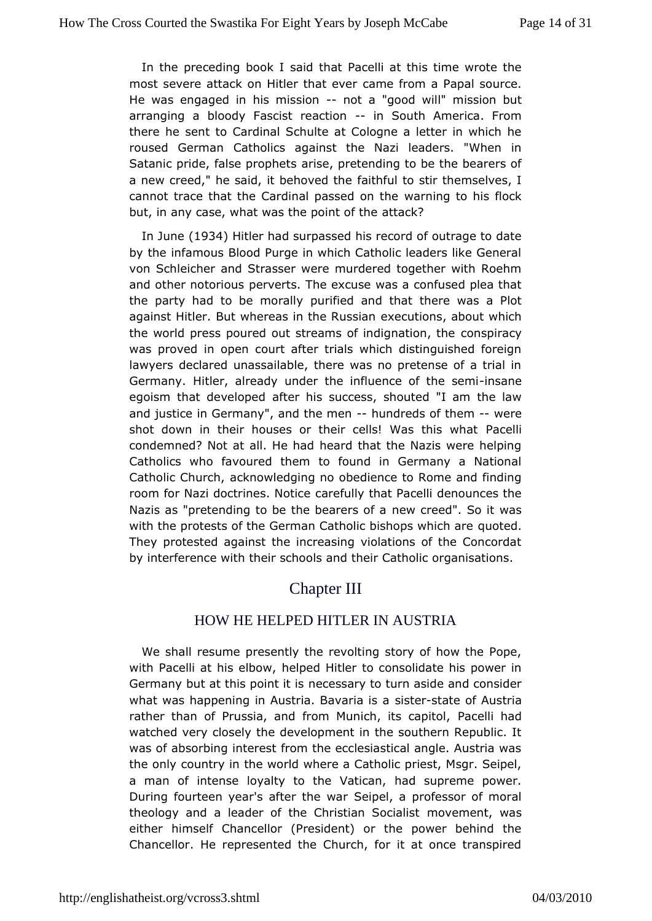In the preceding boanded that Pacelli at this time wrote the most severe attack on Hitlercalment ferwer a Papal source. He was engaged in his -minsostican "good whils' sion but arranging a bloody Fascist-rienacStipounth America. From therehe sent to Cardinal Schulte at Cologne a letter in which roused Germ Cantholics against the Nazi leaders. "When in Satanic pride, false parophet por etending to be the bearers of a new creed," he said, it behaot hefoulthe stir themselves, I cannot trace that the Cardinal paws as ending on to helis flock but, in any case, what was the aptot anothe the

In Jun(d 934 Hitler had surpassed his record of outrage to dat by the infamous Blood Purge in which Catholic leaders like G vonSchleicher and Strasser were murdered together with Roe and other notopieorwserts. The excuse was a confused plea that the party had to be maraflileyd and that there was a Plot against Hitler. But whereas in dimeral alusonisa, nabout which the world press poured out streams of indings paint accry, the was proved in open court after trials which distinguished for lawyers declared unassailable, there was no pretense of a t GermanyHitler, already under the influence instant be semi egoism that develophed his success, shouted "I am the law and justice in Germany", and humed meds of the where shot down in their houses or their cells! PMasellinis what condemned? Not at all. He had heard that the Nazis were he Catholics who favoured them to found in Germany a Natio Catholic Chuackhowledging no obedience to Rome and finding room for Nazi doctrines.anNedtuilde that Pacelli denounces the Nazis as "pretending to be the beaured annew of" a So it was with the protests of the German Catholic bigsuhoot psd.which are They protested against the increasing violations of the Conc byinterference with their schools and their Catholic organisat

# Chapter III

### HOW HE HELPED HITLER IN AUSTRIA

We sharle sume presently the revolting story of how the Pop with Pacelli at his hell poew, Hitler to consolidate his power in Germany but at this poniendeist is ary to turn aside and consider what was happening in Austria. Biastaria tes of Austria rather than of Prussia, and from Munichacetis chapd tol, watched very closely the development in the southern Republ was of absorbing interest from the ecclesiastical angle. Austi the only ountry in the world where a Catholic priest, Msgr. Sei a man of intelrosyealty to the Vatican, had supreme power. During fourteen year's afte\$etihpeelwaar professor of moral theology and a leader of the Christmane Some mitalisms either himself Chancellor (President) or the power behind Chancellor. He represented the Church, for it at once trans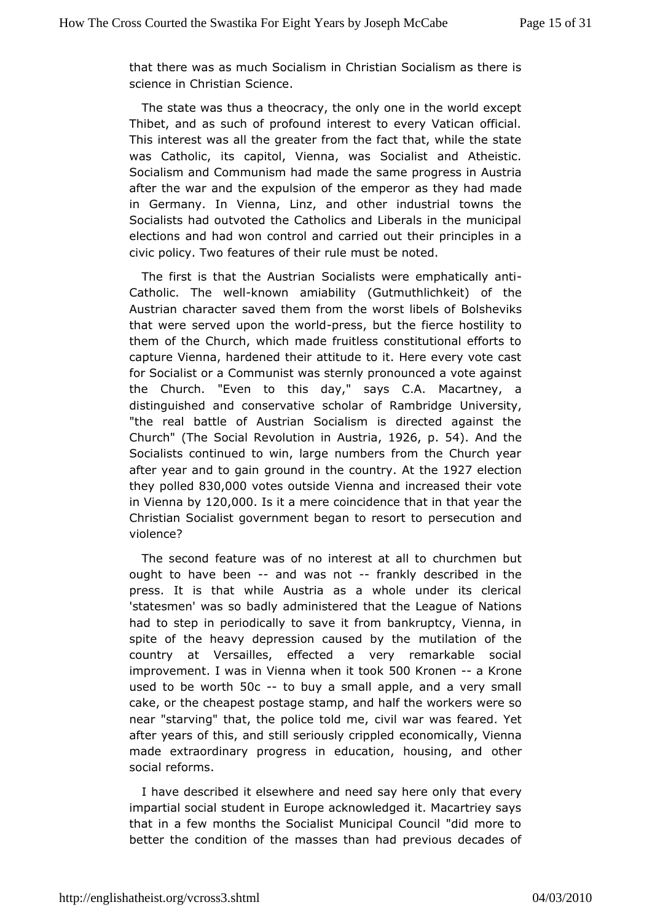that there was much Socialism in Christian Socialism as there science in Chr**Ss**chimence.

The state was thus a theocracy, the only one in the world e Thibet, and as such of profound interest to every Vatican of This interest was all the greater from the fact that, while the state was Catholiitcs, capitol, Vienna, was Socialist and Atheistic Socialism and Communims and hatche same progress in Austria after the war and the expulsion of atshet heem pheard rmade in Germany. In Vienna, Linz, and other industrial towns Socialists had outvoted the Catholics and Liberals in the mu electionsd had won control and carried out their principles i civic policy. features of their rule must be noted.

The first is that the Sosiallants were emphati-cally anti Catholic. The -kwe win amiabili (Gutmuthlichkeit) of the Austrian character saved them from the Boodsshte Viiks Is of that were served upon the ewsildut the fierce hostility to them of the Church, which made fruitless constitutional effo captur Veienna, hardened their attitude to it. Here every vote c for Socialist Commanunist was sternly pronounced a vote against Church. "Even to this a  $\psi$  a  $\psi$ .A. Macartney, a distinguished and conservative scholar Umfive as ity, idge "the real battle of Austrian Socialism is directed against Church (The Social Revolution in 94206spt 5a4). And the Socialists ntinued to win, large numbers from the Church year after year and togropain din the countrity  $6927$  election they poll&3d0,000 otes outs Videenna and increased their vote in Vienna  $120,000$ s it a mere coincidence that year the Christian Socialist government beganet serce ustoot to nd violence?

The second feature was of no interensuir cantiman but ought to have beand was notfrankly described in the press. It is that while Austria as a whole under its cle 'statesmen' wabsas by administered that the League of Nations had to step in periodiscand by it of rom bankruptcy, Vienna, in spite of the heavy depression caursetd atyonheef the country at Versailles, effected a very remarkable soc improvementwas in Vienna when 5000 Korook en a Krone used to be w 50th-to buy a small apple, and a very small cake, or the cheapest sptasming eand half the workers were so near "starving" that, the police viblodame yas feared. Yet after years of this, and still serioushyomoricpapled Vienna made extraordinary progress in education, otherwasing, and social reforms.

I have described it elsewhere and need healy elveery only impartial social student in Europe acknowledged it. Macartrie that in a few months the Socialist Municipal Council "did mo better the ndition of the masses than had previous decades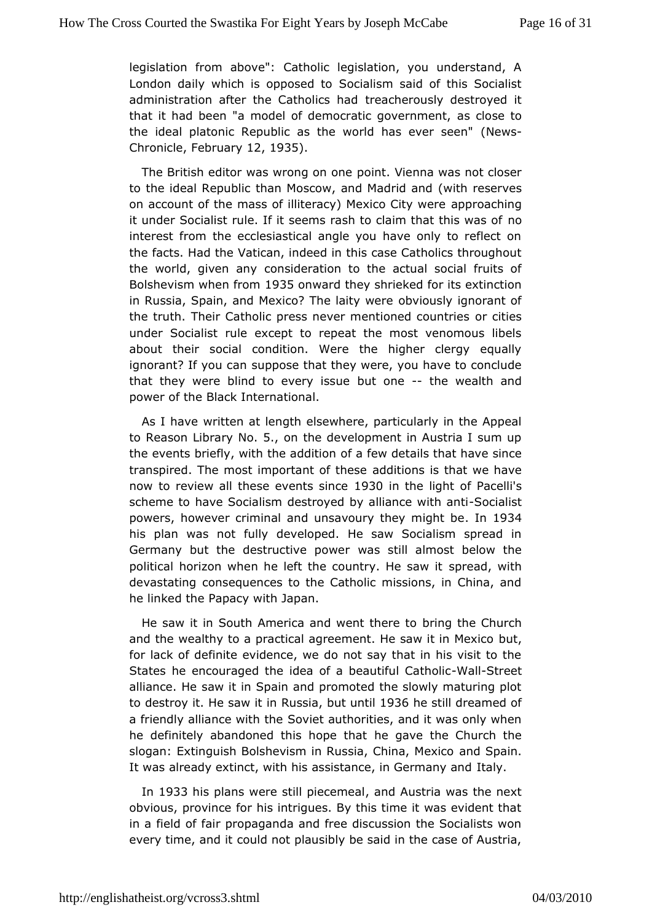legislation from abCoawte "bilic legislation, you understand, A London daily which is op\$oseallison said of this Socialist administration after the Cathroeliaccshehrandisly destroyed it that it had been "a model of democratic soctwestement. the ideal platonic Republic as the world (rewsiver seen" Chronic Fee bruan 2, 1935.

The British editor was wrongion dienna was not closer to the ideal Republic than Moscow, and it than erset raned on account of the mass of illiteracy) Mappion a Critiving were it under Socialist rule. If it seems rash to clanmo that this was interest from the ecclesiastical angle you have only to reflect the factsad the Vatican, indeed in this case Catholics through the world, given coamsyideration to the actual social fruits of Bolshevism when 19ros onwartchey shrieked for its extinction in Russia, Spain, and Mexico? The vliadiusly weigenorant of the truth. Their Catholic press never mentimonetion countries under Socialist rule except to repeat the most venomous I abouttheir social condition. Were the higher clergy equa ignorant? If yo suppopose that they were, you have to conclude that they were blind to evenuy iosnsete the wealth and power of the Black International.

As I haweritten at length elsewhere, particularly in the Appe to Reason Librar5x, Nonthe development in Austria I sum up the events briefly, with the faad detwodetails that have since transpired. The most importanation of the states that we have now to review all these events bisolismintchee light Pacelli's scheme to have Socialism destroyed by a-Sicacnia tistith anti powershowever criminal and unsavoury they in 109 i3g4ht be his plan was fublty developed. He saw Socialism spread in Germany but the destructive a powelr almost below the political horizon when he left the counstpryealde wsiat with devastating consequences to the Catholic missions, in China helinked the Papacy with Japan.

He saw it in South America and when in the ree Conurch and the wealthy to a practical agreement. Heb $\mathbf{s}$ a,w it in Mexic for lack of definite evidence, we do not say that in his visit States he encouraged the idea of a be-a Wat Fosulre Geatholic alliance.  $s$  as it in Spain and promoted the slowly maturing plot to destroy it. Heisa Ruist sbaut untli 936he still dreamed of a friendly alliance wich the Suth the Sorities, and it was only when he definitely abandoned this hheopgeavtehatthe Church the slogan: Extinguish Bolshevism in Russiaan@h\$paa, Mexico It was already extinct, with his assistance, Itany Germany and

In 1933 his plans were still piæncemal and and the next obvious, province for his intrigues. By this time it was evider in a fiedfofair propaganda and free discussion the Socialists every time, and uild not plausibly be said in the case of Austria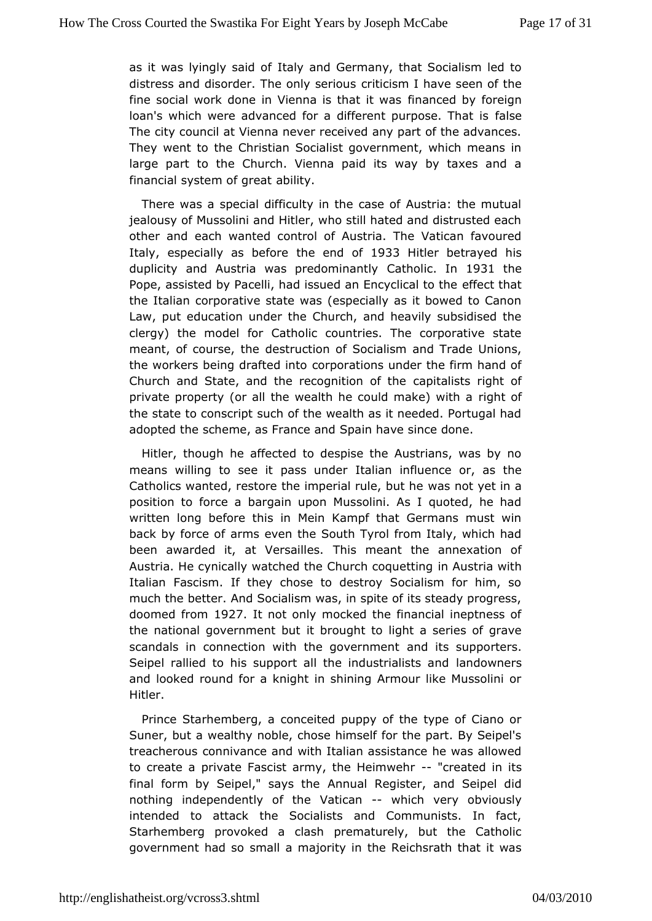as it was Ivingly staathy oafnd Germany, that Socialism led to distress and disorder. The omnivtises in ushave seen of the fine social work done in Vienna is intanaced by a sforeign loan's which were advanced for a different foals peose. That is The city council at Vienna never received any part of the adv The went to the Christian Socialist government, which means large part to Ctherch. Vienna paid its way by taxes and a financial system o aboitetayt

There was a special difficulty in the case of Austria: the m jealousy of Mussolini and Hitler, who still hated and distruste other anedach wanted control of Austria. The Vatican favoure Italy, especially as the formed  $\phi$  033 Hitler betrayed his duplicity and Austria was predCoanthino ainthly 1931 the Pope, assisted by Pacelli, had issued ane Effrect that all to the the Italian corporative state was (especially as it bowed to Law, put education under the Church, and heavily subsidise clergy) the odel for Catholic countries. The corporative stat meant, of coursede the uction of Socialism and Trade Unions, the workers being drafted portections under the firm hand of Church and State, and the recogno aligoint a bifs tush eright of private property (or all the wealth he could ghat of) with a the state to conscript such of the wealth as it needed. Portug adopted the scheme, as France and Spain have since done.

Hitler, thoughafhected to despise the Austrians, was by no means willing to see it palstualiuandenfluence or, as the Catholics wanted, restore the imperial asumet bet he a position to force a bargain upon Mussolini. As I quoted, he written long before this in Mein Kampf that Germans must back by forcaermon's even the South Tyrol from Italy, which had been awarded it, at Velshasllenseant the annexation of Austria. He cynically watched the Chuimch costquaetwiining Italian Fascism. If they chose to destroy Socialism for him much the better. And Socialism was, in spite of its steady pro doomed from 1927 It not only mocked the financial ineptness of the national government boutght to light a series of grave scandals in connection with the annowlerther and porters. Seipel rallied to his support all the indaunsdownanties rtss and and looked round for a knight in shining Armour like Mussol Hitler.

Prince Starhemberg, a conceited puppy of the type of Cian Suner, but a wealthy noble, chose himself for the part. By  $S_f$ treacherogosnnivance and with Italian assistance he was allow to create a prFvaastesist army, the Heim we bated in its final form by Seipel," sAany rsuah eRegister, and Seipel did nothing independently of the-Wahticachery obviously intended to attack the Socialists and Communists. In fact Starhemberg provoked a clash prematurely, but the Catho government had msall a majority in the Reichsrath that it was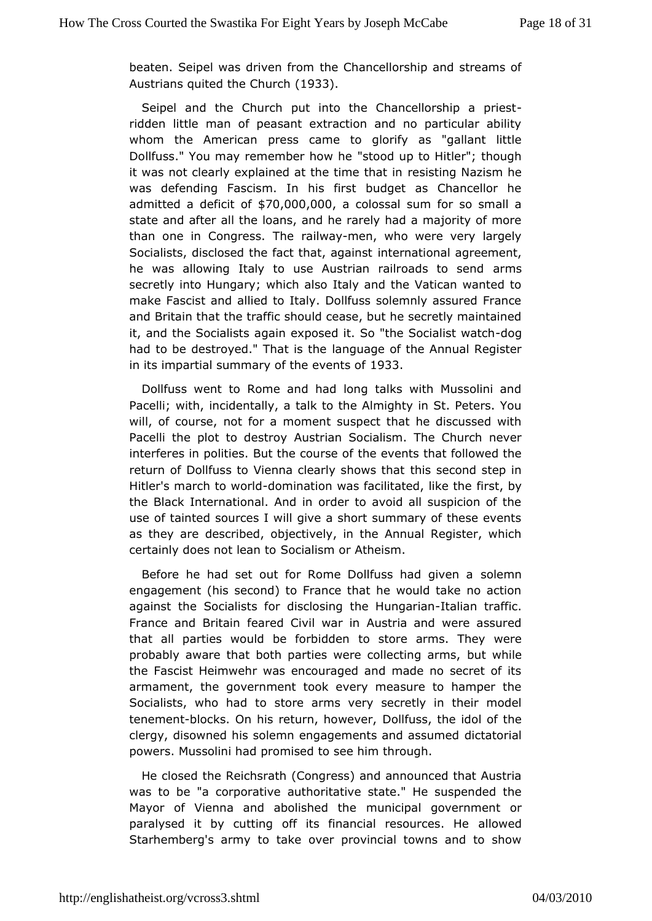beaten. Seipel was driven Chancellorship and streams of Austrians quited the  $CD333$ .ch

Seipel and the Church put into the Chance-Ilorship a pri riddemittle man of peasant extraction and no particular abi whom the Americanss came to glorify as "gallant little Dollfuss." You may remembe's thow he to Hitler"; though it was not clearly explained at theretsims eimiganlaism he was defending Fascism. In his first budget as Chancellor admitted a defi $$i70,000,000$  colossal sum for so small a state and a atter the loans, and he rarely had a majority of mor than one in Congressail Whamen, who were very largely Socialists, disclosed the fact the etrangizational agreement, he was allowing Italy to use Austrian raibromass to send secretly into Hungary; which also Italy and the Vatican want makeFascist and allied to Italy. Dollfuss solemnly assured Fr and Britain the attraffic should cease, but he secretly maintaine it, and the Sociand as this exposed it. So "the Socidaoligist watch had to be destroyed." Thlat in galabe of the Annual Register in its impartial summary of the 968 Bents of

Dollfuss went to Rome and had long talks with Mussolini Pacel with, incidentally, a talk to the Almighty in St. Peters. will, of coumse, for a moment suspect that he discussed with Pacelli the plot to **Aestroa**n Socialism. The Church never interferes in polities. But thteh ecoeuvres ret softhat followed the return of Dollfuss to Vienna clearthishsoewcsontblastep in Hitler's march to-dwomrilmdation was facilitated in stike by he the Black International. And in order to avoid all suspicion use of tainted sources I will give a short summary of these e as they adescribed, objectively, in the Annual Register, whi certainly does not Seachatosm or Atheism.

Before he had set out for Rome Dollfussoheandingiven a engagement (his second) to France that he would take no ad againsthe Socialists for disclosing the a Himam garaathic. France and Brite airred Civil war in Austria and were assured that all parties would be forbsitobolen arms. They were probably aware that both parties were could enting arms, the Fascist Heimwehr was encouraged and made no secret o armament, the government took every measure to hamper t Socialists, who had theo arms very secretly in their model tenement ocks. On his return, hDoow betwees, the idol of the clergy, disowned his solemn engagements ia had to arsisumed powers. Mussolini had promised to see him through.

He closehde Reichsrath (Congress) and announced that Austria was to be "a corpoaruthositative state." He suspended the Mayor of Vienna and abolismiuendicitual government or paralysed it by cutting off its financial allecs weedces. He Starhemberg's army to take over provincial towns and to s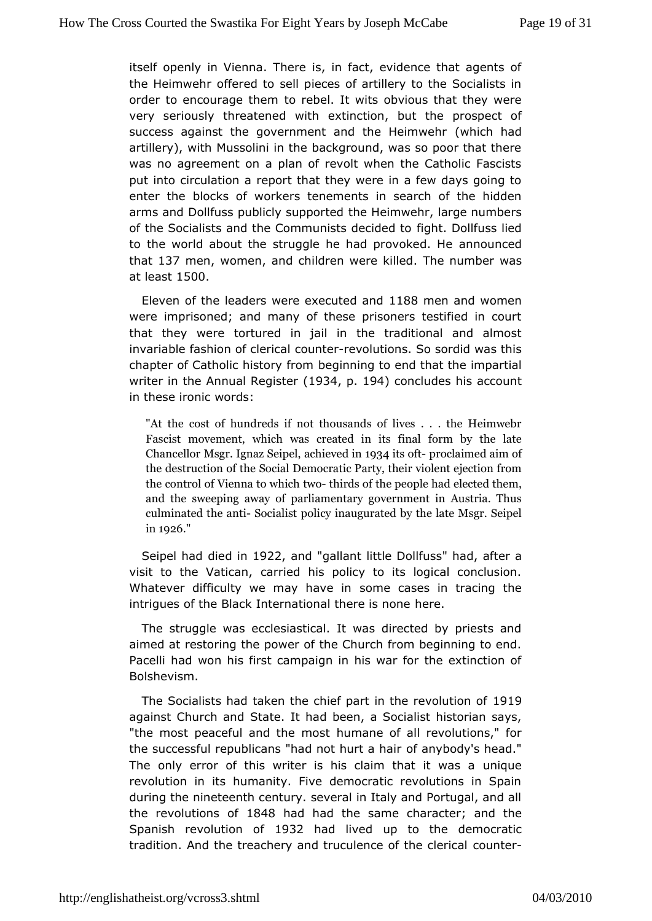itselopenly in Vienna. There is, in fact, evidence that agent the Heimweolffered to sell pieces of artillery to the Socialists order to encourage to threembel. It wits obvious that they were very seriously threatened timiction, but the prospect of success against the government and the hich inheadhr artillery), with Mussolini in the background, was so poor that was no agreement on a plan of revolt when the Catholic Fas put into irculation a report that they were in a few days going enter the block wsorckfers tenements in search of the hidden arms and Dollfuss publicly the pheimewiehr, large numbers of the Socialists and the Communisftisq hote cDolobel but was lied to the world about the struggle he had apnroonuncheedd He that137 men womenand children were Tkhile endumber was at  $lea$ \$ $500$ 

Eleven of the leaders were ex $\texttt{etab}\$  and mand women wereimprisoned; and many of these prisoners testified in co that they we betured in jail in the traditional and almost invariable fashion of counter  $\alpha$  butions. So sordid was this chapter of Catholic histogery in finding to end that the impartial writer in the Annual  $R$  tegg  $3 \notin \text{per} \set{194}$  concludes his account in these ironic words:

"At the cobstunodfreds if not thousands of lives . . . the He Fascist movementwa which ated in its final form by the la Chancellor Msgr. Igan alzieSveei $\phi$ bei 3h4lts opfroclaimed aim of the destruction of Dtemen Scoratad Party, their violent ejection from the control of Viennta etch iw chisclef the people had elected them and the sweeping paway methtary government in Austria. Thus culminated the actic anticy inaugurated by the late Msgr. Sei in1926

Seipel had ich dind 22 and "gallant little D'ohlad as ter a visit to the Vatceanied his policy to its logical conclusion. Whatever difficulty we may some can ses in tracing the intrigues of the Black Internationalhere is none

The struggle was ecclesiastical. It was directed by priests aimed at restoring the power of the Church from beginning to Pacelli hwand his first campaign in his war for the extinction Bolshevism.

TheSocialists had taken the chief part in the revolution of against Church Stantob. It had been, a Socialist historian says, "the most peaceful and the manue tof all revolutions," for the successful republicans "had not hurt bady as rhead." The only error of this writer is his claimunthqauteit was a revolution in its humanity. Five democratic revolutions in Spain duringhe nineteenth century. several in Italy and Portugal, an the revolution\$848 had had the same charactehe Spanish revolution 9302 fhad live up to the democratic tradition. And the treachery and truculence ounter clerical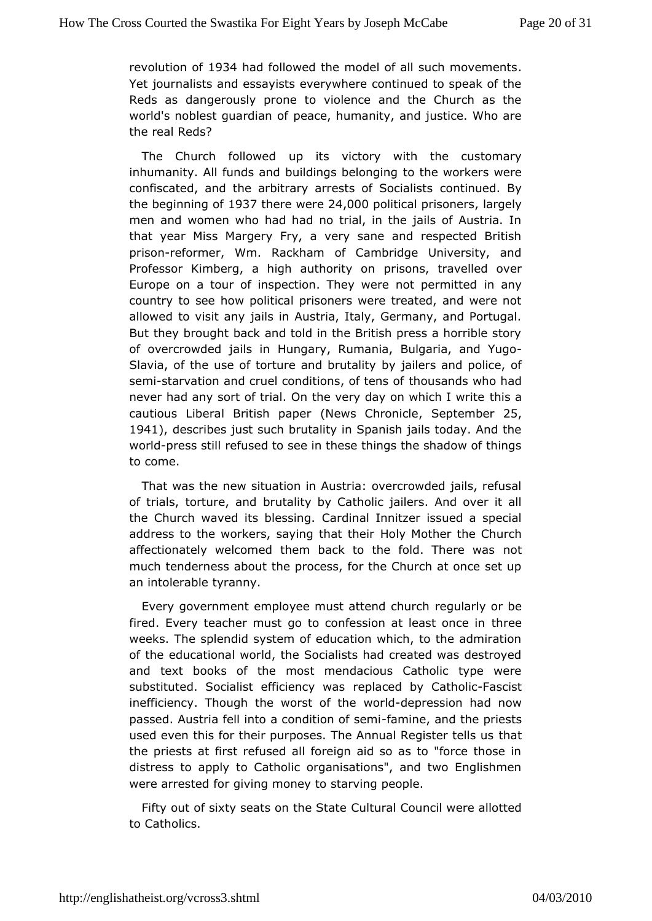revolution 1984 had followed the model of all such movements Yetjournalists and essayists everywhere continued to speak of Reds adsangerously prone to violence and the Church as th world's noblest quande apeofhumanity, and justice. Who are the real Reds?

The Church follow pedits victory with the customary inhumanity. All funds and buildin**gos the elo wong ringers** were confiscated, and the arbitrary arrestscomflictum distributions the beginning 987 there were, 000 political prisolary of the men and women who had had no trial, in the jails of Austria thatyear Miss Margery Fry, a very sane and respected Brit prisoneformer, WRackham of Cambridge University, and Professor Kimberg, a high auphrosothys, ontravelled over Europe on a tour of inspection. They werennahypermitted country to see how political prisoners were treated, and wer allowetob visit any jails in Austria, Italy, Germany, and Portu But they brow and told in the British press a horrible stor of overcrowded jahllus ng ary, Rumania, Bulgaria, and Yugo Slavia, of the use of torture abdy jariuleasitand police, of sem-istarvation and cruel conditionsh couls tenndss on tho had never had any sort of trial. On the very day the wahich I write cautious Liberal British  $N$  epwers per  $C$  hronicle epitember 5, 1941, describes just such brutality in Spanish jails today. And worlopress still flused to see in these things the shadow of thing to come.

That was the w situation in Austria: overcrowded jails, refusally of trials, tortureb, ruatradity by Catholic jailers. And over it all the Church waved its bCessing. Innitzer issued a special address to the workers, saying Holhyat Mitchtehier the Church affectionately welcomed them back to the fobd. There was much tenderness about the process, for the Church at once s anintolerable tyranny.

Every government employee must attengual achiuroh be fired. Every teacher must go to confession tat releast once in weeks. The splendid system of education which, to the admir of theducational world, the Socialists had created was destro and text booksthef most mendacious Catholic type were substituted. Socialist efficienclay cendarsby Ca-Fhacslociest inefficiency. Though the wordscried technession had now passed. Austria fell into a condfiatimo im ea, finds et the priests used even this for their purposes. The Annuath Register tells us the priests at first refused all foreign aid so as to "force th distress to apply to Catholic organisations", and two English were arrestted giving money to starving people.

Fifty out of sixty seats on Cthe bustake Council were allotted to Catholics.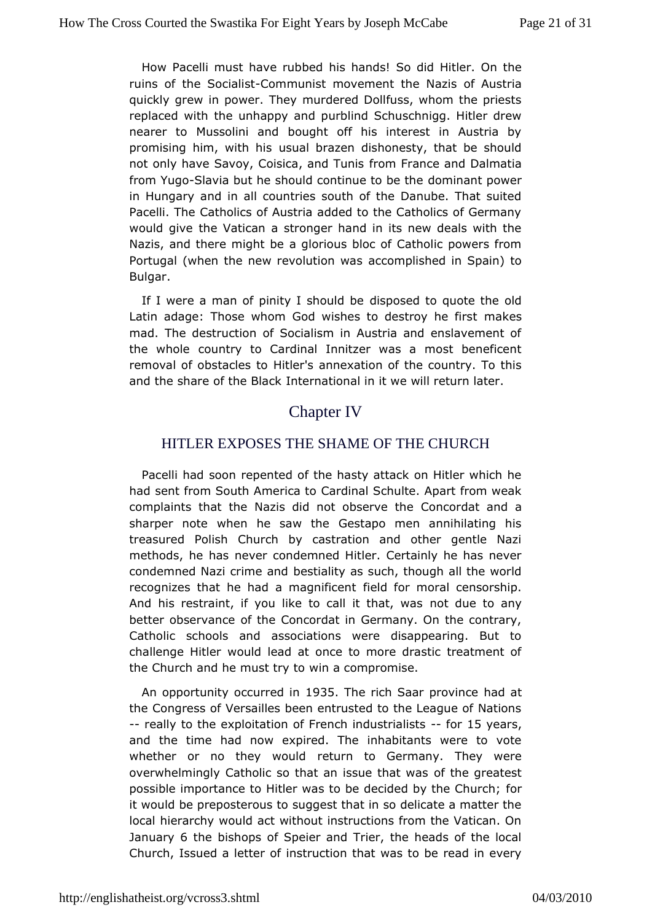How Pacelli must have his bibaerdds! So did Hitler. On the ruins of the So-Cioaminstunist movement at this of Austria quickly grew in power. They murdered Dollfuss, whom the pr replaced with the unhappy and purblind Schuschnigg. Hitler nearer tMoussolini and bought off his interest in Austria b promising him, with schais brazen dishonesty, that be should not only have Savoy, Coisicaframd FTranicse and Dalmatia from Yu-GSdavia but he should continuelot obthe antheower in Hungary and in all countries south of the Danube. That s Pacelli. The Catholics of Austria added to the Catholics of G would givee Vatican a stronger hand in its new deals with the Nazis, and there migging to be also bloc of Catholic powers from Portugal (when the new revolauctiom pulasshed in Spain) to Bulgar.

If I were a man of pinity I dhsopud debleto quote the old Latin adage: Those whom God wishes to dreatres he first mad. The destruction of Socialism in Austria and enslaveme the wholeountry to Cardinal Innitzer was a most beneficen removal of obstac Hield etrols annexation of the country. To this and the share of then Belanca tional in it we will return later.

# **Chapter<sub>IV</sub>**

### HITLER EXPOSES THE SHAME OF THE CHURCH

Pacelli had soppented of the hasty attack on Hitler which he had sent from South Am Gardanted Schulte. Apart from weak complaints that the Nazis did not Cobseoveathand a sharper note when he saw the Gestapo men annihilating treasured Polish Church by castration and other gentle methods, he messer condemned Hitler. Certainly he has never condemned Nazi crimbe sained ity as such, though all the world recognizes that he had a maigen diffice metal censorship. And his restraint, if you like to calnott duattowasy better observance of the Concordat in Germany. On the cont Catholic schools and associations were disappearing. Bu challenge Hitbeurld lead at once to more drastic treatment of the Church and he muswting to mpromise.

An opportunity occulle 96305 The rich Saar prohaion caet the Congress of Versailles been entrusted to the League of N --really to the exploitation of French-ifrochul 5 tyre algiss ts and the ime had now expired. The inhabitants were to vote whether or no they weotwilrch to Germany. They were overwhelmingly Catholic so that an institution that when when  $\mathbf s$  to possible importance to Hitler was to be decided rby the Churc it would be preposterous to suggest that in so delicate a matt locahierarchy would act without instructions from the Vatican JanuarG thebishops of Speier and Trier, the heads of the loc Church, Issued a letter to that was to be read in every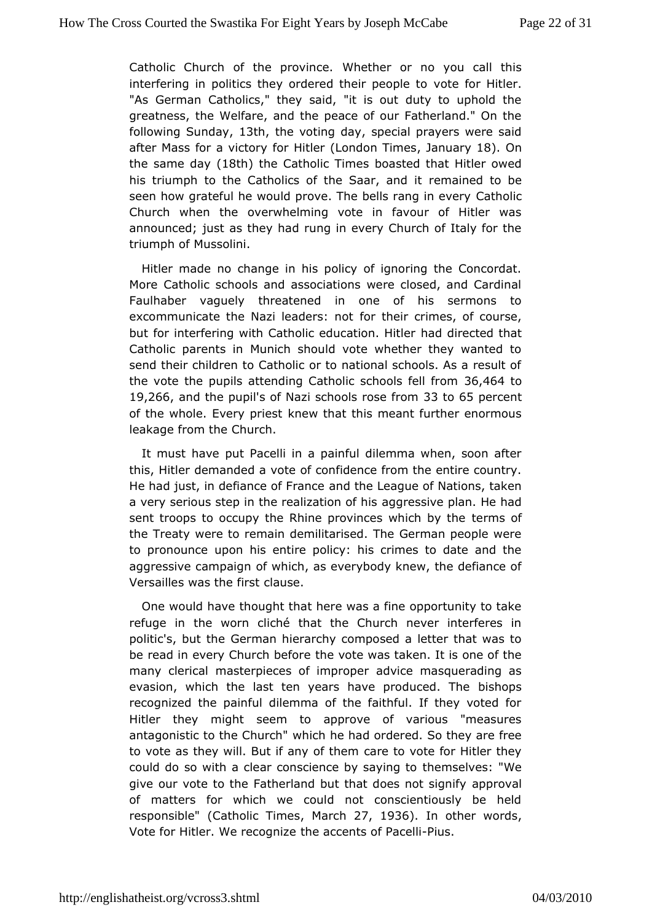Catholic Church of the pW the correct or no you call this interfering in politics they ordered theotic peopHetleo. "As German Catholics," they said, "it is out duty to uphold greatness, the Welfare, and the peace of our Fatherland." O followinSqunday 13th, the voting , dsapyecial prayers were said after Mass for a vioortoHriytl(durondon Timulexanuary8).On the same  $d(4\Re h)$  the Catholic Tboasted that Hitler owed his triumph to the Catholics of the r8 anaanineach doitbe seen how grateful he would prove. The belCsatheonlocin every Church when the overwhelming vote in favour of Hitler w announcejd; is as they had rung in every Church of Italy for the triumph **Mussolini**.

Hitler made no change in his policy of ignoring the Conco More Catholic schools and associations were closed, and  $C\epsilon$ Faulhabe raquely threatened in one of his sermons to excommunicate the Nazi leafobersheriotcrimes, of course, but for interfering with Catholic eduation but for interfat Catholic parents in Munich should vote whether they wante send their children to Catholic or to national schools. As a result the vottehe pupils attending Catholic schools of 4th from 19,26, 6and thepupis of Nazi schools rosset to 605 mpercent of the whole. Every kpewesthat this meant further enormous leakage from the Church.

It mushave put Pacelli in a painful dilemma when, soon aft this, Hitler demanded af confidence from the entire country. He had just, in defiance and dF than clee ague of Nations, taken a very serious step in the realizzong treassoit chips an. He had sent troops to occupy the Rhine provincetserwanhsic onf by the the Treaty were to remain demilitarised. The German people to pronounce upon his entire policy: his crimes to date and aggressive campaightich, as everybody knew, the defiance of Versailles was the daful set.

One would have thought that here was a fine opportunity to refuge in the worn cliché that the Church never interfere politic's, butGehenan hierarchy composed a letter that was to be read in every Churcth be evious taken. It is one of the many clerical masterpieces of diwripeopmears querading as evasion, which the last ten years have produced. The recognized the painful dilemma of the faithful. If they vote Hitlerthey might seem to approve of various "measures antagonistic to the Which he had ordered. So they are free to vote as they will. But if amay reporte for Hitler they could do so with a clear conscience hbey m salvieg: to We give our vote to the Fatherland but that dapps on at signify of matters for which we could not conscientiously be h responsib (Catholic Tim Nearch 27, 1936. In other words Vote for Hitler. We rethe gand zents of FPacelli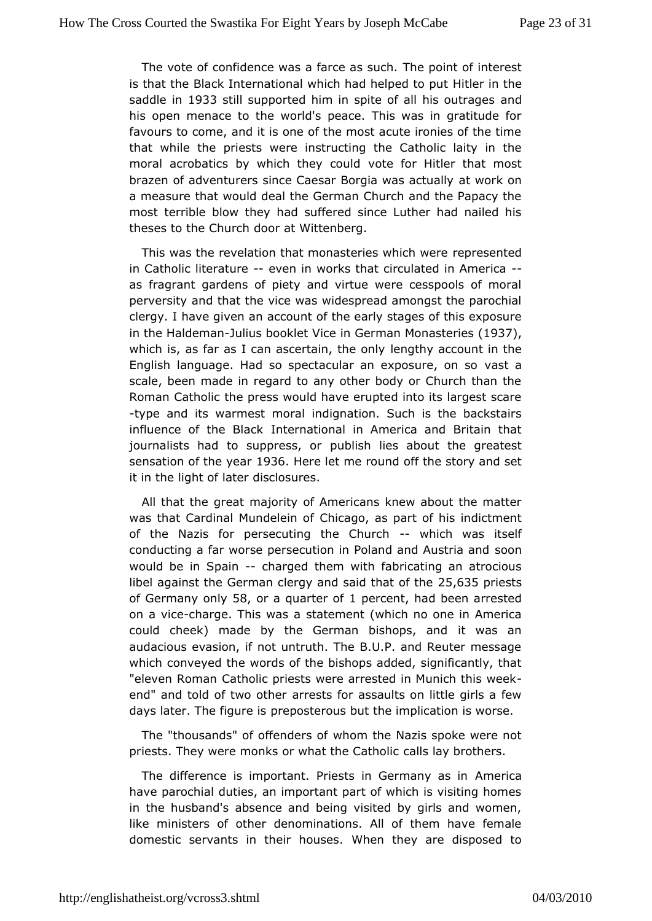The vote of confidence was a fa**rbe as sucharatedore and interest** is that the Black International which hald in elergion the put saddle 1933 still supported him in spite of allamids outrages his open menace to the world's peace. This was in gratitud favours dome, and it is one of the most acute ironies of the ti that while the pwests instructing the Catholic laity in the moral acrobatics by which the ye chourid Hitler that most brazen of adventurers since Caesar Borgaita wooak actually a measure that would deal the German Church and the Papacy mostterrible blow they had suffered since Luther had nailed theses to the Choochat Wittenberg.

This was the revelation that monasterires webstechtedere in Catholic litera ewpen in works that circulated -in America as fragrant gardens of piety and virtue were cesspools of r perversiand that the vice was widespread amongst the parochi clergy. I have givan count of the early stages of this exposure in the Halde-chualnius bookletin Viction an Monaste 9 Beys which is, as far as I can ascerthein qtthe accord oven t in the English language. Had so spectacular an exapsolsaure, on so scale, been made in regard to any other body or Church than RomanCatholic the press would have erupted into its largest s -type and warmest moral indignation. Such is the backstairs influence of the IBiltachational in America and Britain that journalists had to supppeusbslish briles about the greatest sensation of the l  $\blacklozenge$   $\blacklozenge$  alternation and set of the story and set it in the light of later disclosures.

All that tchreat majority of Americans knew about the matter was that Cardinal Mund Cehied agoof, as part of his indictment of the Nazis for persecuting the w**Ghahrch** as itself conducting a far worse persecution in Poland ozomd Austria and would be in Sp-adharged them with fabricating an atrocious libe against the German clergy and sai $25$ the  $35$  poife sheet of Germany Gon&lyor a quarten perce, nittad been arrested on a vicearge. This wetatement (which no one in America could cheek) made by the German biisthowpass, annot audacious evasion, if not untruth. The B.U.P. and Reuter me whichconveyed the words of the bishops added, significantly, "eleven RonCaantholic priests were arrested in Munich this weel end" and told of two aror bhsets for assaults on little girls a few days later. The figue poissterous but the implication is worse.

The "thousands" of offewanderms tone Nazis spoke were not priests. They were monks or what ctahles Clastyh bring thers.

The difference is important. Priests in Genemianay as in have parochial duties, an important part of which is visiting  $\mathsf I$ inthe husband's absence and being visited by girls and won like ministers thefr denominations. All of them have female domestic servants in their Wheusebey are disposed to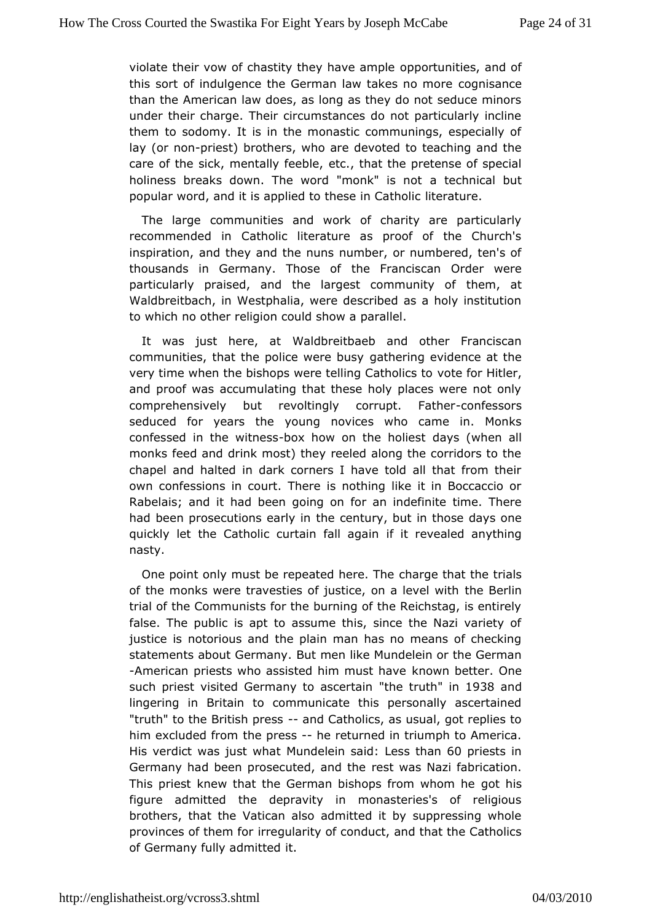violate their vow of chastity they oh potentiam biles, and of this sort of indulgence the German law dakes ano concre than the American law does, as long as they do not seduce m under their charge. Their circumstances do not particularly in them toodomy. It is in the monastic communings, especially lay (or noniest) rothers, who are devoted to teaching and the care of the sick, mentallext cfeet that the pretense of special holiness breaks down. The word "maonthe" chiai madt but popular word, and it is applied to theiserantu Catholic

The large communities and work of charity are particularly recommended in Catholic literature as proof of the Chur inspiration, the wand the nuns number, or numbered, ten's of thousands in Germany. Thbse Foanciscan Order were particularly praised, and the largest domemmunaty of Waldbreitbach, in Westphalia, were described as a holy insti towhich no other religion could show a parallel.

It was just here, Waaldbreitbaeb and other Franciscan communities, that the police gwather bugyevidence at the very time when the bishops were telling to aftohro Hicts etrog and proof was accumulating that these holy places were not comprehensively but revoltingly corrapportessFoartsher seduced for yearsyotuhreg novices who came in. Monks confessed in the wbiot are abow on the holaivess t (when all monks feed and drink most) they reeled along the corridors t chapel and halted in dark corners I have told all that from ownconfessions in court. There is nothing like it in Boccacc Rabelais; anhdadt been going on for an indefinite time. There had been prosecutions the rice minury, but in those days one quickly let the Catholic curtainif fiatlireavgeaailned anything nasty.

One point only must be repeated has equest that the trials of the monks were travesties of justice, tome aBelelvial with trial of the Communists for the burning of the Reichstag, is entirely false. The public is apt to assume this, since the Nazi vari justice netorious and the plain man has no means of checkir statements about GeBmamyen like Mundelein or the German -American priests who assisted himknown at bheat ver. One such priest visited Germany töthees deuttainm 938and lingering in Britain to communicate this personally ascertaing "truth" the British p-reasinsd Catholics, as usual, got replies to him excluded fhoempresshe returned in triumph to America. His verdict was jusMu what delein sabedss than 60 priests in Germany had been prosecutede sath ow at she Nazi fabrication. This priest knew that the German bishops gfor bom is whom he figure admitted the depravity in monasteries's of religi brothershat the Vatican also admitted it by suppressing who provinces of the imrefigularity of conduct, and that the Catholics of Germany fully adimitted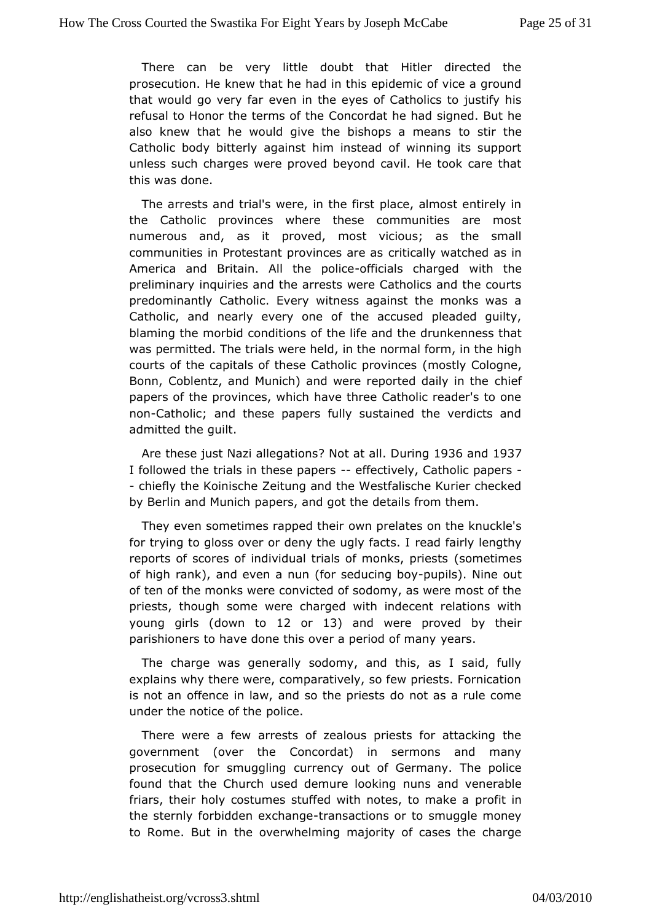There can be very little doubt that Hitler directed to prosecutible. knew that he had in this epidemic of vice a ground that would go veew darin the eyes of Catholics to justify his refusal to Honor the termCs modorideat he had signed. But he also knew that he would give the bishtcopsstar molderens Catholic body bitterly against him instead of winning its su unless such charges were proved beyond cavil. He took care this wadsone.

The arrests and trial's were, in the first place, almost entil the Catholic provinces where these communities are mo numerous and, asprot ved, most vicious; as the small communities in Protestant provioncieiscaalne was tched as in America and Britain. All the fricpialisce changieth the preliminary inquiries and the arrests were Catholics and the predominantly Catholic. Every witness against the monks w. Catholic, annedarly every one of the accused pleaded guilty, blaming the morbid condtinition is the drunkenness that was permitted. The trials were meering alinfot throw in the high courts of the capitals of these Cath(onlocstply  $\circ$  Colomogone, Bonn, Coblentz, and Munich) and were reportheide fdaily in the papers of the provinces, which have three Catholic reader's t nonCatholic; and these papers fully sustained the verdicts admitted to hubilt.

Are these just Nazi al? Not at actions During 936 and 937 I followed the trials in these for applies and y, Catholic papers - chiefthe Koinische Zeitung and the Westfalische Kurier chec by Berlin and Mpuanpehrs, and got the details from them.

They even sometimes rapped the their ates on the knuckle's for trying to gloss over or deny there each of a far the slengthy reports of scores of individual trials of smoonnekts mepsiests of high rank), and even a nun (for-peopulsi)ng Nbog out often of the monks were convicted of sodomy, as were most of priests, thoughe were charged with indecent relations with young girlosown to12 or 13) and were proved by their parishioners to have done this over a pearsd of many

The charge was generally sodomy, and this, as I said, f explains why there were, comparatively, so few priests. Forni is not aomifence in law, and so the priests do not as a rule co under the notice poolitie.

There were a few arrests of zealous priests for attacking government (over the Concordat) in sermons and many prosecution for smugugrlniengicy out of Germany. The police found that the Church used demunuensloomkodnorenerable friars, their holy costumes stuffed with notrestit tion make a the sternly forbidden etxroalmasmagetions or to smuggle money to Rome. But in the overwhelming majority of cases the cha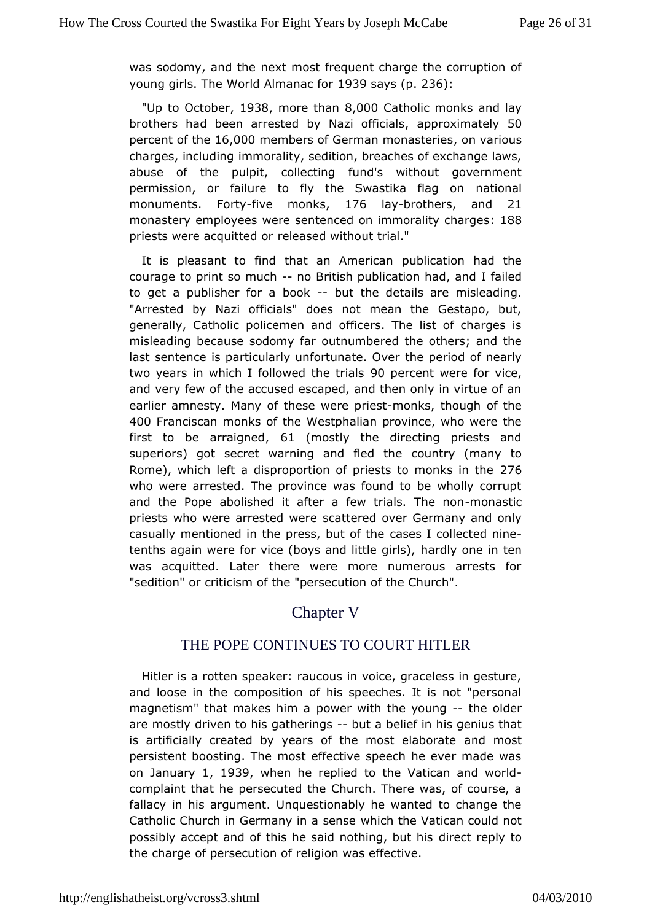was sodomy, and ethe most frequent charge the corruption of young girls. The World Almanascavier 236:

"Up to Octorbie9r38, more tha8n, 000 Catholic moannkos lay brothers had been arrested by Nazzippoof kiiomiatoslOy percenotf the6,000 members of German monasteraies ous charges, inclum himmorality, sedition, breaches of exchange laws, abuse of the pulpit, cofluend tisng without government permission, or failure to fly the Swastick taking on monuments. Fointey monks 176 laybrothers and 21 monaste eymployees were sentenced on immorall 8t8y charges priests were acquited dased without trial."

It is pleasant to find that anp Americation had the courage to print so-mocheritish publication hadjland to get a publisher for-abboothe details are misleading. "Arrested by Nazi officials" does not mean the Gestapo, generally, Cathollicemen and officers. The list of charges is  $m$  is leading because sodcount  $m$  unhabered the others; and the last sentence is particularly unforthen period ver nearly two years in which I followed90 hpeertare ants webore vice, and very few of the accused escaped, and then only in virtue earlier amnesty. Many of these-menkspribsugh of the 400 Franciscan monks of the Westphalian province, who were the first to be arraigned mostly the directing priests and superiors) got secret warning andoufniedy the cany to Rome), which left a disproportion of priests 2t706 monks in the who were arrested. The province was found to be wholly con and the Popoeolished it after a few trialsnon Tanseticion priests who were arrestsed a whered over Germany and only casually mentioned in the presscalses df ctohleected nine tenths again were for vice (boys anhdatidthy eogerlisn), ten was acquitted. Later there were more numerous arrests "sedition" or criticism of the "persecution of the Church".

### Chapter V

# THE POPE CONTINUES TO COURT HITLER

Hitler asrotten speaker: raucous in voice, graceless in gestu and loose inctome position of his speeches. It is not "personal magnetism" that makespownerawith the youther older are mostly driven to his g-athuetrinomeglosef in his genius that is artificially created by years of the annowstmeolsarborate persistent boosting. The most effective speech he ever made on January, 1939 when he replied to the Vatican and world complaint thapersecuted the Church. There was, of course, a fallacy in his argument estionably he wanted to change the Catholic Church in Germany whish selmes eV atican could not possibly accept and of this he said notherong, repuly hires the charge of persecution of religion was effective.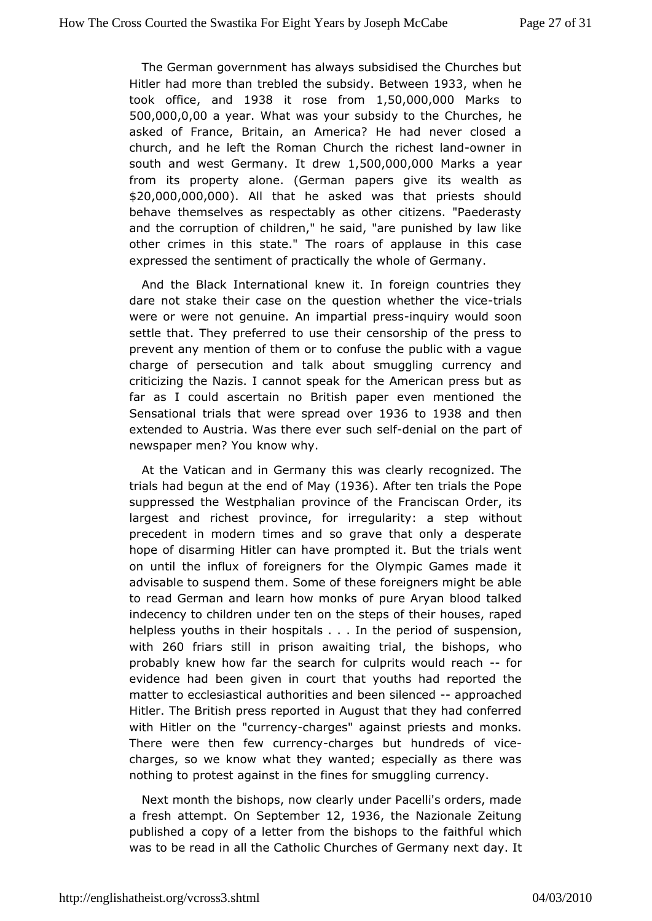TheGerman government has always subsidised the Churches but Hitler had moretthan hed the sub Boed ween933 when he took officænd 1938 it rose from50,000,00Moarks to 500,000,0,00 a year . What was your subsidy to the Churches, he asked of France, Britain, an America? He had never close churchand he left the Roman Church the-orwichlerstnland south and west Germadyew, 500,000,000arks a year from its property alone. (German piaspewseadtike as \$20,000,000,00000 that he asked was that priests should behavehemselves as respectably as other citizens. "Paedera and the corruption hild fren," he said, "are punished by law like other crimes in this stateatrsTho applause in this case expressed the sentiment of practic all Sehren awhyole

And the Black International knew it. In foreign countries dare not stake their case on the question whiculs er the vice were or wenreet genuine. An impartian quireys swould soon settle that. They predeused their censorship of the press to prevent any mention of theeom fours dothe public with a vaque charge of persecution and talk about ursmenoung y alian ged criticizing the Nazis. I cannot speak for the American press far as I could ascertain no British paper even mentioned Sensational trhats were spread 100 bto1938 and then extended to Austria. Was theore selet mial on the part of newspaper men? You know why.

At the atican and in Germany this was clearly recognized. The trials had begun  $an$  dthoef  $M$ ( $a$ 1 $\varphi$ 3 $\varphi$ . After ten trials the Pope suppressed the Westphalian of province in Forean ciscan Order, its largest and richest province, for irsequiawithout precedent in modern times and so grave that only a despe hopeof disarming Hitler can have prompted it. But the trials v on until time lux of foreigners for the Olympic Games made i advisable to suspen  $\mathcal S$  d memof these foreigners might be able to read German and learn how ponroen KAsryoafn blood talked indecency to children under ten on the hosteps, or fa pheedir helpless youths in their hospitals  $\ldots$  sust the ensuing of of with  $260$  friars still in prison awaitthing bisited pusho probably knew how far the search for culprit sowould reach evidence has deen given in court that youths had reported the matter to ecclesiasthcoarlities and been silapproped ched Hitler. The British pressime Apup runst that they had conferred with Hitler on the "conhaerogoeys" agapinisets ts and monks. There were then few coulreages but hundredisceof charges, so we know what they wanted; especially as there nothing pootest against in the fines for smuggling currency.

Next month bishops, now clearly under Pacelli's orders, mad a fresh attempt. On Sept 20th 1936 the Nazionale Zeitung published a copy of a letter from the ebfinant opsit which was to be read in all the Catholic Churchesday. Gletrmany next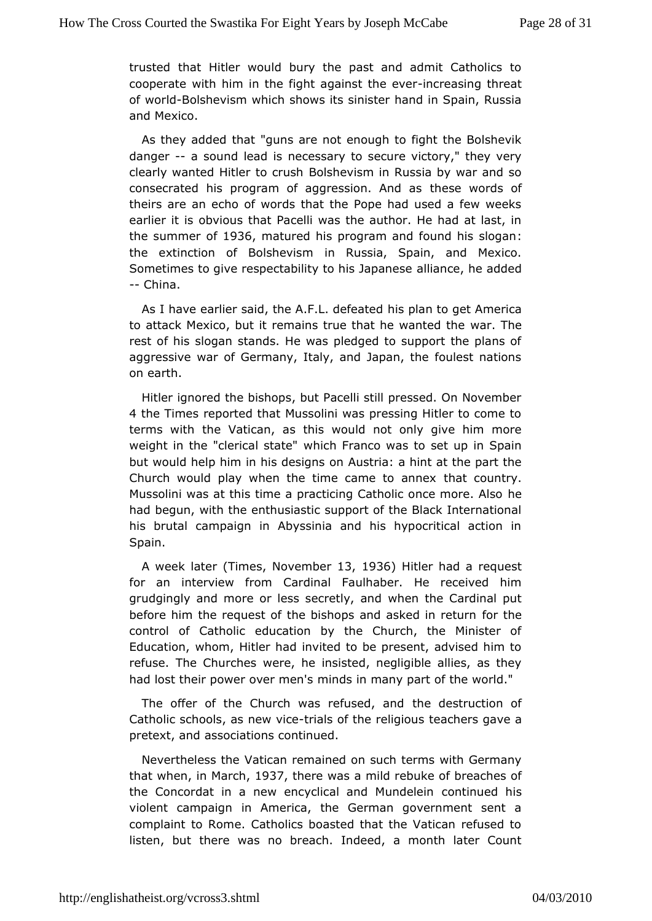trusted that Hitler would bury the past and admit Catholic cooperate in him in the fight agains the assumed threat of wor-Bolsheviswhich shows its sinister hand in Spain, Russia and Mexico.

As they add beat "guns are not enough to fight the Bolshevik danger- a sound leadeicsessary to secure victory," they very clearly wanted Hitler Boolsshues whism in Russia by war and so consecrated his program of aggresstibense Awadrobas of theirs are an echo of words that the Pope had used a few w earlier it is obvious that Pacelli was the author. He had at I the summef1936 matured his program and found: his slogan the extinction of Bolsimevisums sia, Spain, and Mexico. Sometimes to give respectability to a hilis a bapanes and ded --China.

As I have earlier said, the A.Fhis polleafree at being et America to attack Mexico, but it remains true thatwhe wanted the rest of his slogan stands. He was pledged to support the pla aggressive war of Germany, Italy, and Japan, the foulest na onearth.

Hitler ignored the bishops, but Pacelli still pressed. On Nov 4 the Times reported that Mussolini was pressing Hitler to co terms withe Vatican, as this would not only give him more weight in the "clericaw hstate Franco was to set up in Spain but would help him in his deusigmia: on hint at the part the Church would play when the time came the to countery. Mussolini was at this time a practicing Catholhoe once more. A had begun, with the enthusiastic support of the Black Interna hisbrutal campaign in Abyssinia and his hypocritical action Spain.

A weekate (Time, sNovembel r3, 1936) Hitler had a request for an interview Craormdinal Faulhaber. He received him grudgingly and more or less sewcherlythan dardinal put before him the request of the bishops and fasktehde in return control of Catholic education by the Church, the Ministe Educatiownhom, Hitler had invited to be present, advised him refuse. The Chuwcer es he insisted, negligible allies, as they had lost their power oveninndeni's many part of the world."

The offer of the Church was reflusedes anudction of Catholic schools, as -the ively ide the relties alout being a ve a pretext, and associations continued.

Nevertheless Vtaht ecan remained on such terms with Germany that wheim March 937 there was mild rebuke of breaches of the Concordat in a new encyclical and n Mundele hims violent campaign in America, the German government sent complaint to Rome. Catholics boasted that the Vatican refus listen, buhtere was no breach. Indeed, a month later Count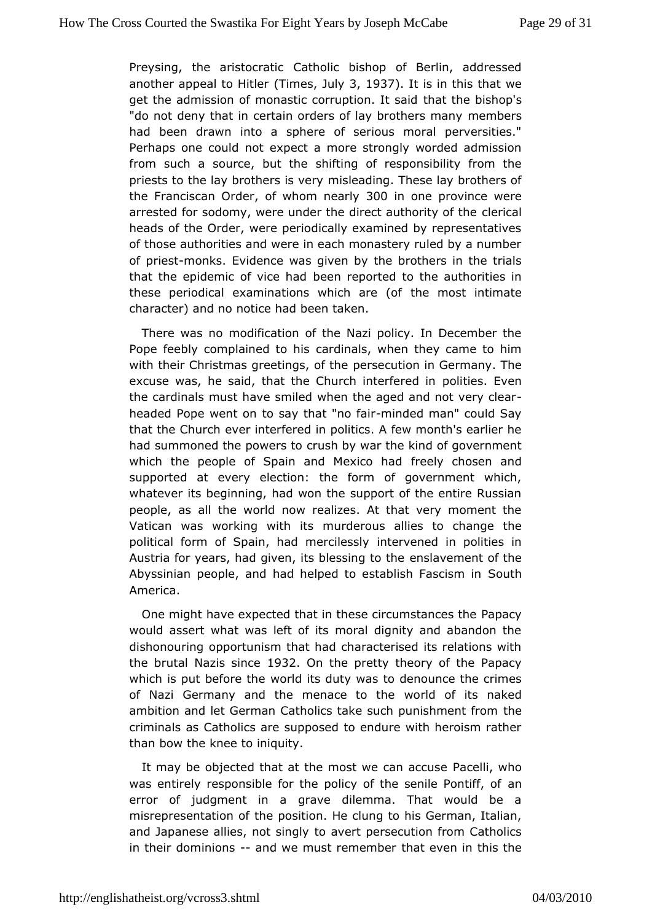Preysing, the arist Cantantoic bishop of Berlin, addressed another appeal to (Hiimless July3, 1937.It is in this that we get the admission of monastic corruthtatonthelt banahop's "do not deny that in certain orders of lay members many had been drawn into a sphere of serious moral perversiti Perhaps onceuld not expect a more strongly worded admission from such a source, bouhtifthe gof responsibility from the priests to the lay brothemsisibe a wet in a These lay brothers of the Franciscan, Confdewthom nearly 0 inone province were arrested for sodomy, were under the direct can articular of the heads of the Order, were periodically examined by representatives ofthose authorities and were in each monastery ruled by a num of priestonks Evidence was given by the brothers in the trials that the epidemic of vbeenhad ported to the authorities in these periodical examinations white a most (on himate character) and no notice had been taken.

There was modification of the Nazi policy. In December the Pope feebly complained atd imass, when they came to him with their Christmas greeting ensecution in Germany. The excuse was, he said, that the Churchponite efser eEdvein the cardinals must have smiled when the aged and not very c headed Pope went on to say that indeed fration" could Say that the Chuervehr interfered in politics. A few month's earlier **help in the Chuerve** had summoned the poweushtoy war the kind of government which the people of Spain and Mireexeibyo chhaodsen and supported at every election: the form of government whi whatever its beginning, had won the support of the entire Ru people, as that world now realizes. At that very moment the Vatican was working wmithrdiet sous allies to change the political form of Spain, had meteowlessely in polities in Austria for years, had given, its beensstangementhef the Abyssinian people, and had helped to establish Fascism in America.

One might have expected that in these circumes the Papacy of the would assert what was left of its moral dignity and abandor dishonouring opportunism that had characterised its relations the brut blazis since 32 On the pretty theory of the Papacy which is put befowent the lits duty was to denounce the crimes of Nazi Germany and the menace orto blieits naked ambition and let German Catholics take such to huenishment from criminals as Catholics are supposed to endure with heroism  $\overline{a}$ than bothe knee to iniquity.

It may be objected that at the most we acahlia cucluse was entirely responsible for the policy of the astenile Pontiff, error of judgment in a grave dilemma. That would be misrepresentation of osition. He clung to his German, Italian, and Japanese allies, ntoot savinegity persecution from Catholics in their dominionenned we must remember that reven in this the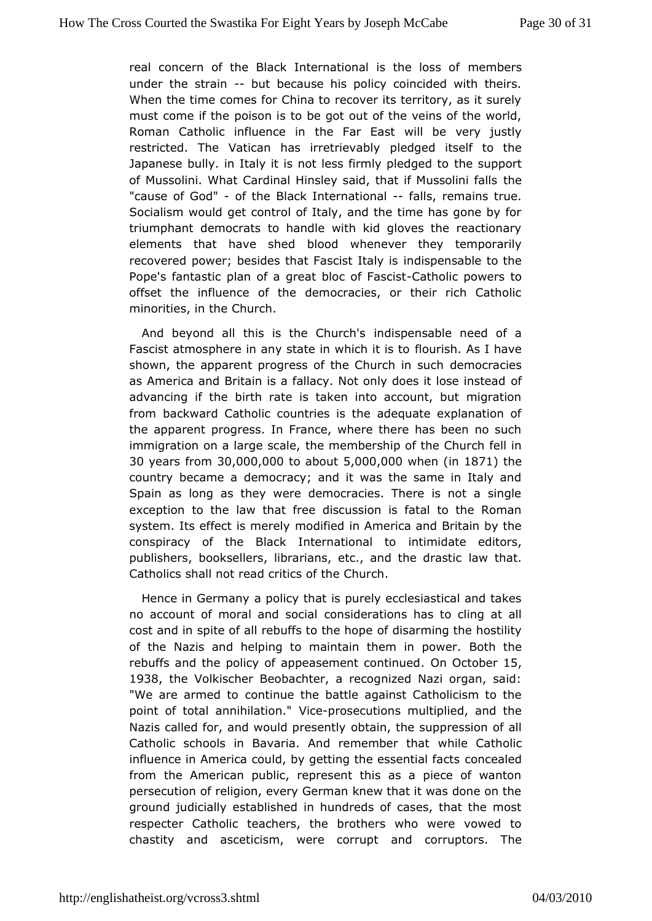real concern of the Black International misemtheersloss of under the strainut because his policy coincided with theirs. Whenthe time comes for China to recover its territory, as it so must come if ptohiss on is to be got out of the veins of the world Roman Catholic influethee Fian East will be very justly restricted. The Vatican has inpreedigeevolabily self to the Japanese bully. in Italy it is not less fithmelysuppledgted to of Mussolini. What Cardinal Hinsley said, that their Mussolini fall "cause of G-oodf" the Black Internatiahlasl, remains true. Socialism would get control of Italy, and the time has gone t triumphademocrats to handle with kid gloves the reactionar elements that have bs bed whenever they temporarily recovered power; besides that Faisnedisstpletrasing bilse to the Pope's fantastic plan of a great blCcad hooflip Ebawsecriss tto offset the influence of the democracies, or their rich Cat minorities, in the Church.

And beyond all this is the inCohispoeh sable need of a Fascist atmosphere in any state influoruind is this to have shown, the apparent progress of the Coheum ochcrian ciseus ch as America and Britain is a fallacy. Not only dofes it lose ins advancing if the birth rate is taken into account, but migration frombackward Catholic countries is the adequate explanation the apparent press. In France, where there has been no suc immigration on a largehe cmake mbership of the Church fell in 30 years fr 30,000,000 abo 5to 00,000 hen(in 1871 the country became a democracy; and it was the same in Italy Spain as long as they were democracies. There is not a single exception to lahwe that free discussion is fatal to the Roman system. Its effect is moditelleyd in America and Britain by the conspiracy of the Black Internantion adatto editors, publishers, booksellers, librarians, etc., laaw dthab. drastic Catholics shall not read critics of the Church.

Hence in Germaapplicy that is purely ecclesiastical and take no account of moral and osside tations has to cling at all cost and in spite of all rebuffsotodits armomon the hostility of the Nazis and helping to maintain the eonthinthesower. rebuffs and the policy of appeaseme@h coonttoibtested 1938 the Volkischer Beobachter, a recognized Nazi organ, sa "We are armed to to the battle against Catholicism to the point of total annihiVation osecutions multiplied, and the Nazis called for, and would pthe issentifive suppression of all Catholic schools in Bavaria. And rewheimhebe Catholic influence in America could, by getting the onse antendal facts from the American public, represent this as a piece of wa persecution of religion, every German knew that it was done c groundudicially established in hundreds of cases, that the m respecter Catholaichers, the brothers who were vowed to chastity and asceticism, wereandorcopituptors. The